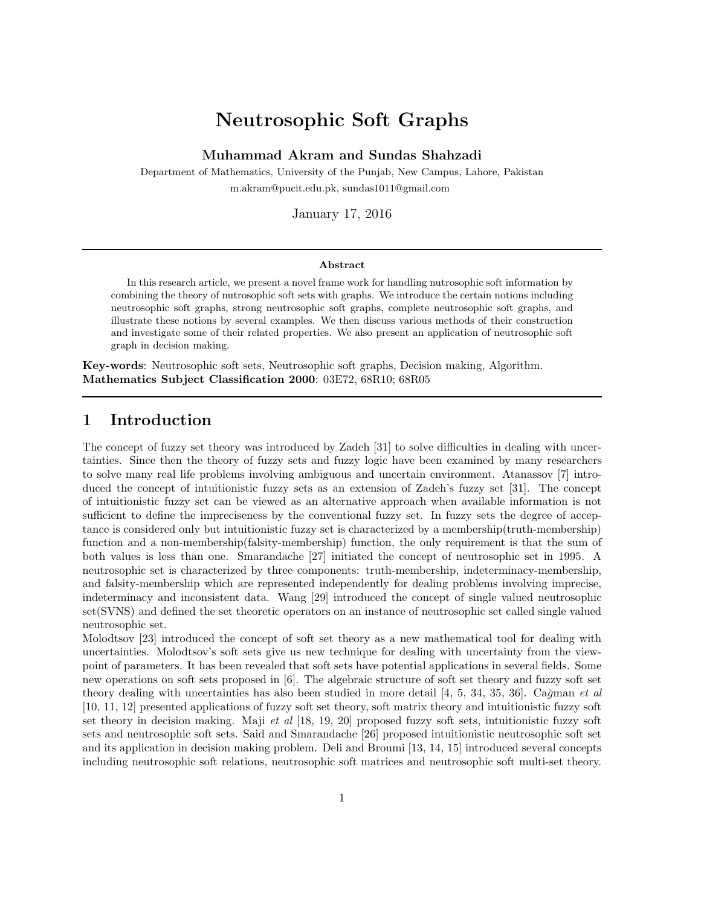# Neutrosophic Soft Graphs

Muhammad Akram and Sundas Shahzadi

Department of Mathematics, University of the Punjab, New Campus, Lahore, Pakistan m.akram@pucit.edu.pk, sundas1011@gmail.com

January 17, 2016

#### Abstract

In this research article, we present a novel frame work for handling nutrosophic soft information by combining the theory of nutrosophic soft sets with graphs. We introduce the certain notions including neutrosophic soft graphs, strong neutrosophic soft graphs, complete neutrosophic soft graphs, and illustrate these notions by several examples. We then discuss various methods of their construction and investigate some of their related properties. We also present an application of neutrosophic soft graph in decision making.

Key-words: Neutrosophic soft sets, Neutrosophic soft graphs, Decision making, Algorithm. Mathematics Subject Classification 2000: 03E72, 68R10; 68R05

### 1 Introduction

The concept of fuzzy set theory was introduced by Zadeh [31] to solve difficulties in dealing with uncertainties. Since then the theory of fuzzy sets and fuzzy logic have been examined by many researchers to solve many real life problems involving ambiguous and uncertain environment. Atanassov [7] introduced the concept of intuitionistic fuzzy sets as an extension of Zadeh's fuzzy set [31]. The concept of intuitionistic fuzzy set can be viewed as an alternative approach when available information is not sufficient to define the impreciseness by the conventional fuzzy set. In fuzzy sets the degree of acceptance is considered only but intuitionistic fuzzy set is characterized by a membership(truth-membership) function and a non-membership(falsity-membership) function, the only requirement is that the sum of both values is less than one. Smarandache [27] initiated the concept of neutrosophic set in 1995. A neutrosophic set is characterized by three components: truth-membership, indeterminacy-membership, and falsity-membership which are represented independently for dealing problems involving imprecise, indeterminacy and inconsistent data. Wang [29] introduced the concept of single valued neutrosophic set(SVNS) and defined the set theoretic operators on an instance of neutrosophic set called single valued neutrosophic set.

Molodtsov [23] introduced the concept of soft set theory as a new mathematical tool for dealing with uncertainties. Molodtsov's soft sets give us new technique for dealing with uncertainty from the viewpoint of parameters. It has been revealed that soft sets have potential applications in several fields. Some new operations on soft sets proposed in [6]. The algebraic structure of soft set theory and fuzzy soft set theory dealing with uncertainties has also been studied in more detail [4, 5, 34, 35, 36]. Cağman *et al* [10, 11, 12] presented applications of fuzzy soft set theory, soft matrix theory and intuitionistic fuzzy soft set theory in decision making. Maji *et al* [18, 19, 20] proposed fuzzy soft sets, intuitionistic fuzzy soft sets and neutrosophic soft sets. Said and Smarandache [26] proposed intuitionistic neutrosophic soft set and its application in decision making problem. Deli and Broumi [13, 14, 15] introduced several concepts including neutrosophic soft relations, neutrosophic soft matrices and neutrosophic soft multi-set theory.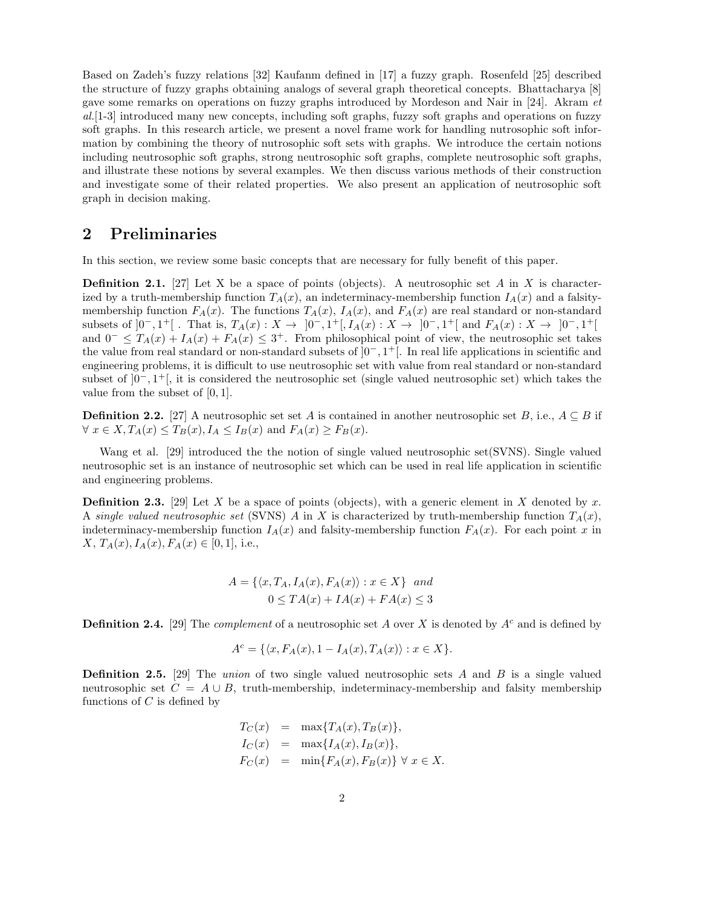Based on Zadeh's fuzzy relations [32] Kaufanm defined in [17] a fuzzy graph. Rosenfeld [25] described the structure of fuzzy graphs obtaining analogs of several graph theoretical concepts. Bhattacharya [8] gave some remarks on operations on fuzzy graphs introduced by Mordeson and Nair in [24]. Akram *et al.*[1-3] introduced many new concepts, including soft graphs, fuzzy soft graphs and operations on fuzzy soft graphs. In this research article, we present a novel frame work for handling nutrosophic soft information by combining the theory of nutrosophic soft sets with graphs. We introduce the certain notions including neutrosophic soft graphs, strong neutrosophic soft graphs, complete neutrosophic soft graphs, and illustrate these notions by several examples. We then discuss various methods of their construction and investigate some of their related properties. We also present an application of neutrosophic soft graph in decision making.

#### 2 Preliminaries

In this section, we review some basic concepts that are necessary for fully benefit of this paper.

**Definition 2.1.** [27] Let X be a space of points (objects). A neutrosophic set A in X is characterized by a truth-membership function  $T_A(x)$ , an indeterminacy-membership function  $I_A(x)$  and a falsitymembership function  $F_A(x)$ . The functions  $T_A(x)$ ,  $I_A(x)$ , and  $F_A(x)$  are real standard or non-standard subsets of  $]0^-, 1^+]$ . That is,  $T_A(x) : X \to ]0^-, 1^+]$ ,  $I_A(x) : X \to ]0^-, 1^+]$  and  $F_A(x) : X \to ]0^-, 1^+]$ and  $0^- \n\t\leq T_A(x) + I_A(x) + F_A(x) \leq 3^+$ . From philosophical point of view, the neutrosophic set takes the value from real standard or non-standard subsets of ]0<sup>−</sup>, 1 <sup>+</sup>[. In real life applications in scientific and engineering problems, it is difficult to use neutrosophic set with value from real standard or non-standard subset of  $]0^-, 1^+]$ , it is considered the neutrosophic set (single valued neutrosophic set) which takes the value from the subset of [0, 1].

**Definition 2.2.** [27] A neutrosophic set set A is contained in another neutrosophic set B, i.e.,  $A \subseteq B$  if  $\forall x \in X, T_A(x) \leq T_B(x), I_A \leq I_B(x)$  and  $F_A(x) \geq F_B(x)$ .

Wang et al. [29] introduced the the notion of single valued neutrosophic set(SVNS). Single valued neutrosophic set is an instance of neutrosophic set which can be used in real life application in scientific and engineering problems.

**Definition 2.3.** [29] Let X be a space of points (objects), with a generic element in X denoted by x. A *single valued neutrosophic set* (SVNS) A in X is characterized by truth-membership function  $T<sub>A</sub>(x)$ , indeterminacy-membership function  $I_A(x)$  and falsity-membership function  $F_A(x)$ . For each point x in  $X, T_A(x), I_A(x), F_A(x) \in [0, 1],$  i.e.,

$$
A = \{ \langle x, T_A, I_A(x), F_A(x) \rangle : x \in X \} \text{ and}
$$
  

$$
0 \le TA(x) + IA(x) + FA(x) \le 3
$$

**Definition 2.4.** [29] The *complement* of a neutrosophic set A over X is denoted by  $A<sup>c</sup>$  and is defined by

$$
A^c = \{ \langle x, F_A(x), 1 - I_A(x), T_A(x) \rangle : x \in X \}.
$$

Definition 2.5. [29] The *union* of two single valued neutrosophic sets A and B is a single valued neutrosophic set  $C = A \cup B$ , truth-membership, indeterminacy-membership and falsity membership functions of  $C$  is defined by

$$
T_C(x) = \max\{T_A(x), T_B(x)\},
$$
  
\n
$$
I_C(x) = \max\{I_A(x), I_B(x)\},
$$
  
\n
$$
F_C(x) = \min\{F_A(x), F_B(x)\} \forall x \in X.
$$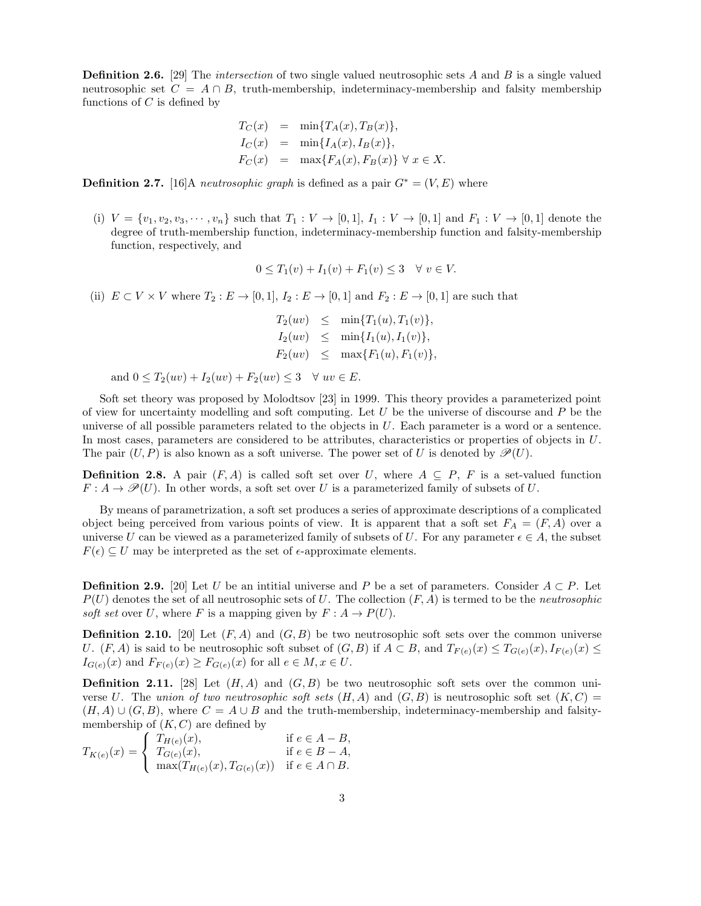**Definition 2.6.** [29] The *intersection* of two single valued neutrosophic sets A and B is a single valued neutrosophic set  $C = A \cap B$ , truth-membership, indeterminacy-membership and falsity membership functions of  $C$  is defined by

$$
T_C(x) = \min\{T_A(x), T_B(x)\},
$$
  
\n
$$
I_C(x) = \min\{I_A(x), I_B(x)\},
$$
  
\n
$$
F_C(x) = \max\{F_A(x), F_B(x)\} \forall x \in X.
$$

**Definition 2.7.** [16]A *neutrosophic graph* is defined as a pair  $G^* = (V, E)$  where

(i)  $V = \{v_1, v_2, v_3, \dots, v_n\}$  such that  $T_1 : V \to [0, 1], I_1 : V \to [0, 1]$  and  $F_1 : V \to [0, 1]$  denote the degree of truth-membership function, indeterminacy-membership function and falsity-membership function, respectively, and

$$
0 \le T_1(v) + I_1(v) + F_1(v) \le 3 \quad \forall \ v \in V.
$$

(ii)  $E \subset V \times V$  where  $T_2 : E \to [0,1], I_2 : E \to [0,1]$  and  $F_2 : E \to [0,1]$  are such that

$$
T_2(uv) \leq \min\{T_1(u), T_1(v)\},
$$
  
\n
$$
I_2(uv) \leq \min\{I_1(u), I_1(v)\},
$$
  
\n
$$
F_2(uv) \leq \max\{F_1(u), F_1(v)\},
$$

and  $0 \leq T_2(uv) + I_2(uv) + F_2(uv) \leq 3 \quad \forall uv \in E$ .

Soft set theory was proposed by Molodtsov [23] in 1999. This theory provides a parameterized point of view for uncertainty modelling and soft computing. Let  $U$  be the universe of discourse and  $P$  be the universe of all possible parameters related to the objects in  $U$ . Each parameter is a word or a sentence. In most cases, parameters are considered to be attributes, characteristics or properties of objects in U. The pair  $(U, P)$  is also known as a soft universe. The power set of U is denoted by  $\mathscr{P}(U)$ .

**Definition 2.8.** A pair  $(F, A)$  is called soft set over U, where  $A \subseteq P$ , F is a set-valued function  $F: A \to \mathcal{P}(U)$ . In other words, a soft set over U is a parameterized family of subsets of U.

By means of parametrization, a soft set produces a series of approximate descriptions of a complicated object being perceived from various points of view. It is apparent that a soft set  $F_A = (F, A)$  over a universe U can be viewed as a parameterized family of subsets of U. For any parameter  $\epsilon \in A$ , the subset  $F(\epsilon) \subset U$  may be interpreted as the set of  $\epsilon$ -approximate elements.

**Definition 2.9.** [20] Let U be an initial universe and P be a set of parameters. Consider  $A \subset P$ . Let  $P(U)$  denotes the set of all neutrosophic sets of U. The collection  $(F, A)$  is termed to be the *neutrosophic soft set* over U, where F is a mapping given by  $F: A \to P(U)$ .

**Definition 2.10.** [20] Let  $(F, A)$  and  $(G, B)$  be two neutrosophic soft sets over the common universe U.  $(F, A)$  is said to be neutrosophic soft subset of  $(G, B)$  if  $A \subset B$ , and  $T_{F(e)}(x) \leq T_{G(e)}(x), I_{F(e)}(x) \leq T_{G(e)}(x)$  $I_{G(e)}(x)$  and  $F_{F(e)}(x) \geq F_{G(e)}(x)$  for all  $e \in M, x \in U$ .

**Definition 2.11.** [28] Let  $(H, A)$  and  $(G, B)$  be two neutrosophic soft sets over the common universe U. The *union of two neutrosophic soft sets*  $(H, A)$  and  $(G, B)$  is neutrosophic soft set  $(K, C)$  $(H, A) \cup (G, B)$ , where  $C = A \cup B$  and the truth-membership, indeterminacy-membership and falsitymembership of  $(K, C)$  are defined by

$$
T_{K(e)}(x) = \begin{cases} T_{H(e)}(x), & \text{if } e \in A - B, \\ T_{G(e)}(x), & \text{if } e \in B - A, \\ \max(T_{H(e)}(x), T_{G(e)}(x)) & \text{if } e \in A \cap B. \end{cases}
$$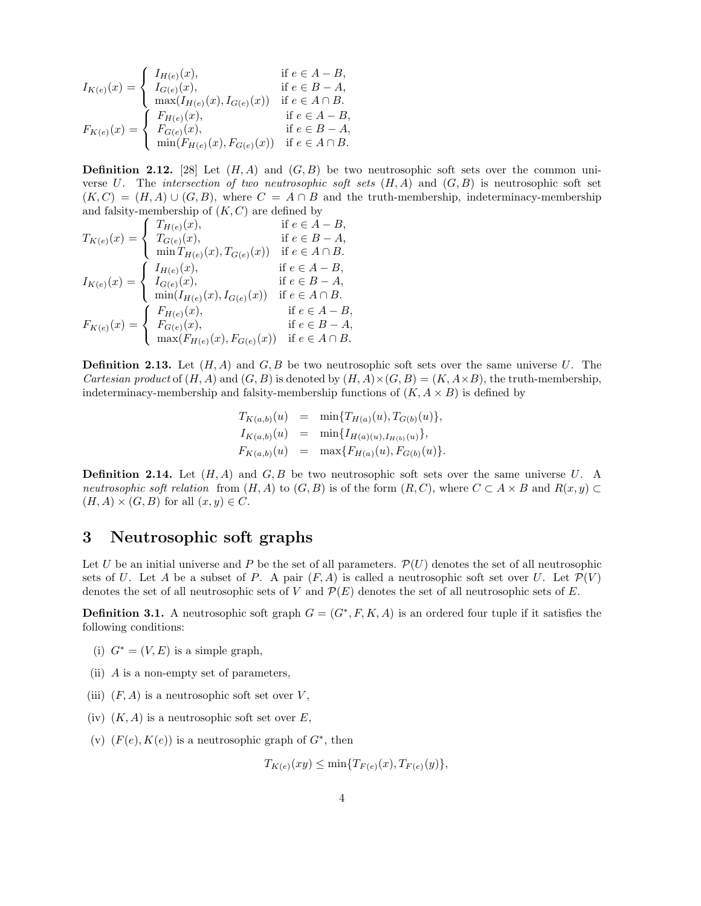$$
I_{K(e)}(x) = \begin{cases} I_{H(e)}(x), & \text{if } e \in A - B, \\ I_{G(e)}(x), & \text{if } e \in B - A, \\ \max(I_{H(e)}(x), I_{G(e)}(x)) & \text{if } e \in A \cap B. \end{cases}
$$

$$
F_{K(e)}(x) = \begin{cases} F_{H(e)}(x), & \text{if } e \in A - B, \\ F_{G(e)}(x), & \text{if } e \in A - B, \\ F_{G(e)}(x), & \text{if } e \in B - A, \\ \min(F_{H(e)}(x), F_{G(e)}(x)) & \text{if } e \in A \cap B. \end{cases}
$$

**Definition 2.12.** [28] Let  $(H, A)$  and  $(G, B)$  be two neutrosophic soft sets over the common universe U. The *intersection of two neutrosophic soft sets*  $(H, A)$  and  $(G, B)$  is neutrosophic soft set  $(K, C) = (H, A) \cup (G, B)$ , where  $C = A \cap B$  and the truth-membership, indeterminacy-membership and falsity-membership of  $(K, C)$  are defined by

$$
T_{K(e)}(x) = \begin{cases} T_{H(e)}(x), & \text{if } e \in A - B, \\ T_{G(e)}(x), & \text{if } e \in B - A, \\ \min T_{H(e)}(x), T_{G(e)}(x)) & \text{if } e \in A \cap B. \end{cases}
$$
  

$$
I_{K(e)}(x) = \begin{cases} I_{H(e)}(x), & \text{if } e \in A - B, \\ I_{G(e)}(x), & \text{if } e \in B - A, \\ \min(I_{H(e)}(x), I_{G(e)}(x)) & \text{if } e \in A \cap B. \end{cases}
$$
  

$$
F_{K(e)}(x) = \begin{cases} F_{H(e)}(x), & \text{if } e \in A - B, \\ F_{G(e)}(x), & \text{if } e \in A - B, \\ \max(F_{H(e)}(x), F_{G(e)}(x)) & \text{if } e \in B - A, \\ \max(F_{H(e)}(x), F_{G(e)}(x)) & \text{if } e \in A \cap B. \end{cases}
$$

**Definition 2.13.** Let  $(H, A)$  and  $G, B$  be two neutrosophic soft sets over the same universe U. The *Cartesian product* of  $(H, A)$  and  $(G, B)$  is denoted by  $(H, A) \times (G, B) = (K, A \times B)$ , the truth-membership, indeterminacy-membership and falsity-membership functions of  $(K, A \times B)$  is defined by

$$
T_{K(a,b)}(u) = \min\{T_{H(a)}(u), T_{G(b)}(u)\},
$$
  
\n
$$
I_{K(a,b)}(u) = \min\{I_{H(a)(u), I_{H(b)}(u)}\},
$$
  
\n
$$
F_{K(a,b)}(u) = \max\{F_{H(a)}(u), F_{G(b)}(u)\}.
$$

**Definition 2.14.** Let  $(H, A)$  and  $G, B$  be two neutrosophic soft sets over the same universe U. A *neutrosophic soft relation* from  $(H, A)$  to  $(G, B)$  is of the form  $(R, C)$ , where  $C \subset A \times B$  and  $R(x, y) \subset$  $(H, A) \times (G, B)$  for all  $(x, y) \in C$ .

#### 3 Neutrosophic soft graphs

Let U be an initial universe and P be the set of all parameters.  $\mathcal{P}(U)$  denotes the set of all neutrosophic sets of U. Let A be a subset of P. A pair  $(F, A)$  is called a neutrosophic soft set over U. Let  $\mathcal{P}(V)$ denotes the set of all neutrosophic sets of V and  $\mathcal{P}(E)$  denotes the set of all neutrosophic sets of E.

**Definition 3.1.** A neutrosophic soft graph  $G = (G^*, F, K, A)$  is an ordered four tuple if it satisfies the following conditions:

- (i)  $G^* = (V, E)$  is a simple graph,
- (ii) A is a non-empty set of parameters,
- (iii)  $(F, A)$  is a neutrosophic soft set over V,
- (iv)  $(K, A)$  is a neutrosophic soft set over E,
- (v)  $(F(e), K(e))$  is a neutrosophic graph of  $G^*$ , then

$$
T_{K(e)}(xy) \le \min\{T_{F(e)}(x), T_{F(e)}(y)\},\,
$$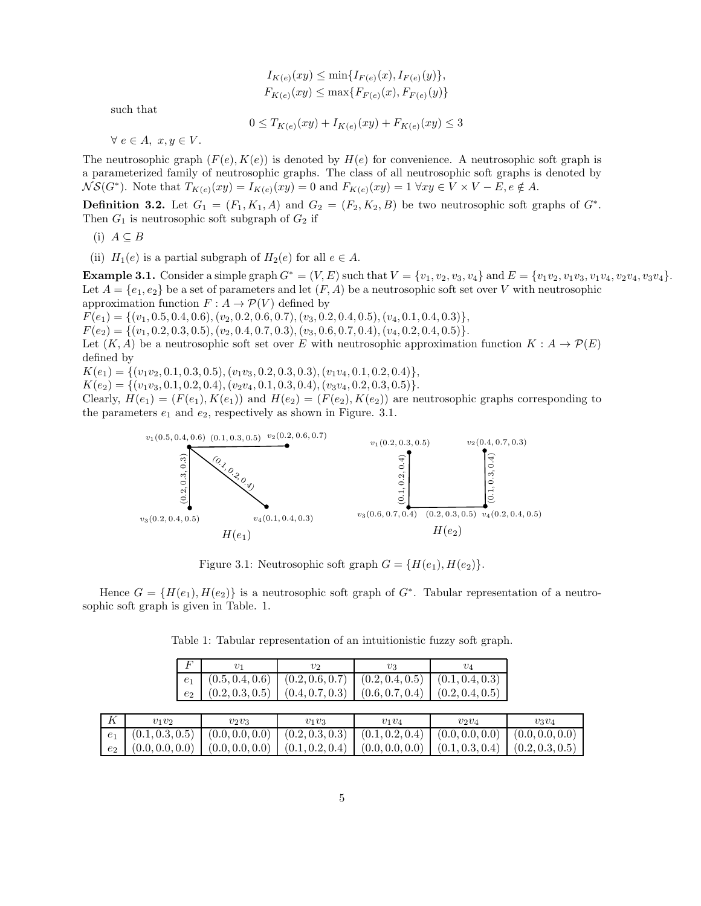$$
I_{K(e)}(xy) \le \min\{I_{F(e)}(x), I_{F(e)}(y)\},
$$
  

$$
F_{K(e)}(xy) \le \max\{F_{F(e)}(x), F_{F(e)}(y)\}
$$

such that

$$
0 \le T_{K(e)}(xy) + I_{K(e)}(xy) + F_{K(e)}(xy) \le 3
$$

 $\forall e \in A, x, y \in V.$ 

The neutrosophic graph  $(F(e), K(e))$  is denoted by  $H(e)$  for convenience. A neutrosophic soft graph is a parameterized family of neutrosophic graphs. The class of all neutrosophic soft graphs is denoted by  $\hat{\mathcal{NS}}(G^*)$ . Note that  $T_{K(e)}(xy) = I_{K(e)}(xy) = 0$  and  $F_{K(e)}(xy) = 1 \,\forall xy \in V \times V - E, e \notin A$ .

**Definition 3.2.** Let  $G_1 = (F_1, K_1, A)$  and  $G_2 = (F_2, K_2, B)$  be two neutrosophic soft graphs of  $G^*$ . Then  $G_1$  is neutrosophic soft subgraph of  $G_2$  if

- (i)  $A \subseteq B$
- (ii)  $H_1(e)$  is a partial subgraph of  $H_2(e)$  for all  $e \in A$ .

**Example 3.1.** Consider a simple graph  $G^* = (V, E)$  such that  $V = \{v_1, v_2, v_3, v_4\}$  and  $E = \{v_1v_2, v_1v_3, v_1v_4, v_2v_4, v_3v_4\}.$ Let  $A = \{e_1, e_2\}$  be a set of parameters and let  $(F, A)$  be a neutrosophic soft set over V with neutrosophic approximation function  $F : A \to \mathcal{P}(V)$  defined by

 $F(e_1) = \{(v_1, 0.5, 0.4, 0.6), (v_2, 0.2, 0.6, 0.7), (v_3, 0.2, 0.4, 0.5), (v_4, 0.1, 0.4, 0.3)\},\$ 

 $F(e_2) = \{(v_1, 0.2, 0.3, 0.5), (v_2, 0.4, 0.7, 0.3), (v_3, 0.6, 0.7, 0.4), (v_4, 0.2, 0.4, 0.5)\}.$ 

Let  $(K, A)$  be a neutrosophic soft set over E with neutrosophic approximation function  $K : A \to \mathcal{P}(E)$ defined by

 $K(e_1) = \{(v_1v_2, 0.1, 0.3, 0.5), (v_1v_3, 0.2, 0.3, 0.3), (v_1v_4, 0.1, 0.2, 0.4)\},\$ 

 $K(e_2) = \{(v_1v_3, 0.1, 0.2, 0.4), (v_2v_4, 0.1, 0.3, 0.4), (v_3v_4, 0.2, 0.3, 0.5)\}.$ 

Clearly,  $H(e_1) = (F(e_1), K(e_1))$  and  $H(e_2) = (F(e_2), K(e_2))$  are neutrosophic graphs corresponding to the parameters  $e_1$  and  $e_2$ , respectively as shown in Figure. 3.1.



Figure 3.1: Neutrosophic soft graph  $G = \{H(e_1), H(e_2)\}.$ 

Hence  $G = \{H(e_1), H(e_2)\}\$ is a neutrosophic soft graph of  $G^*$ . Tabular representation of a neutrosophic soft graph is given in Table. 1.

 $F$  v<sub>1</sub> v<sub>2</sub> v<sub>3</sub> v<sub>4</sub>  $e_1 \mid (0.5, 0.4, 0.6) \mid (0.2, 0.6, 0.7) \mid (0.2, 0.4, 0.5) \mid (0.1, 0.4, 0.3)$  $e_2 \mid (0.2, 0.3, 0.5) \mid (0.4, 0.7, 0.3) \mid (0.6, 0.7, 0.4) \mid (0.2, 0.4, 0.5)$  $K$  v<sub>1</sub>v<sub>2</sub> v<sub>2</sub>v<sub>3</sub> v<sub>1</sub>v<sub>3</sub> v<sub>1</sub>v<sub>3</sub> v<sub>1</sub>v<sub>4</sub> v<sub>2</sub>v<sub>4</sub> v<sub>3</sub>v<sub>4</sub>  $e_1$   $(0.1, 0.3, 0.5)$   $(0.0, 0.0, 0.0)$   $(0.2, 0.3, 0.3)$   $(0.1, 0.2, 0.4)$   $(0.0, 0.0, 0.0)$   $(0.0, 0.0, 0.0)$ 

Table 1: Tabular representation of an intuitionistic fuzzy soft graph.

 $e_2$  (0.0, 0.0, 0.0) (0.0, 0.0, 0.0) (0.1, 0.2, 0.4) (0.0, 0.0, 0.0) (0.1, 0.3, 0.4) (0.2, 0.3, 0.5)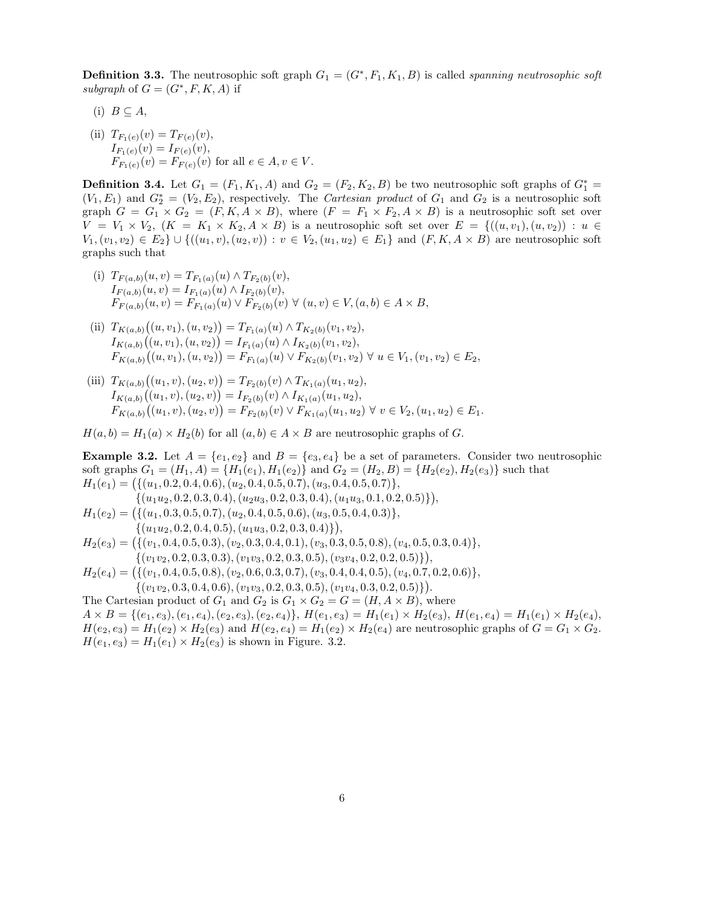**Definition 3.3.** The neutrosophic soft graph  $G_1 = (G^*, F_1, K_1, B)$  is called *spanning neutrosophic soft subgraph* of  $G = (G^*, F, K, A)$  if

- (i)  $B \subseteq A$ ,
- (ii)  $T_{F_1(e)}(v) = T_{F(e)}(v),$  $I_{F_1(e)}(v) = I_{F(e)}(v),$  $F_{F_1(e)}(v) = F_{F(e)}(v)$  for all  $e \in A, v \in V$ .

**Definition 3.4.** Let  $G_1 = (F_1, K_1, A)$  and  $G_2 = (F_2, K_2, B)$  be two neutrosophic soft graphs of  $G_1^* =$  $(V_1, E_1)$  and  $G_2^* = (V_2, E_2)$ , respectively. The *Cartesian product* of  $G_1$  and  $G_2$  is a neutrosophic soft graph  $G = G_1 \times G_2 = (F, K, A \times B)$ , where  $(F = F_1 \times F_2, A \times B)$  is a neutrosophic soft set over  $V = V_1 \times V_2$ ,  $(K = K_1 \times K_2, A \times B)$  is a neutrosophic soft set over  $E = \{((u, v_1), (u, v_2)) : u \in$  $V_1,(v_1,v_2) \in E_2 \cup \{((u_1,v),(u_2,v)) : v \in V_2,(u_1,u_2) \in E_1\}$  and  $(F,K,A \times B)$  are neutrosophic soft graphs such that

- (i)  $T_{F(a,b)}(u,v) = T_{F_1(a)}(u) \wedge T_{F_2(b)}(v),$  $I_{F(a,b)}(u, v) = I_{F_1(a)}(u) \wedge I_{F_2(b)}(v),$  $F_{F(a,b)}(u, v) = F_{F_1(a)}(u) \vee F_{F_2(b)}(v) \vee (u, v) \in V, (a, b) \in A \times B,$
- (ii)  $T_{K(a,b)}((u, v_1), (u, v_2)) = T_{F_1(a)}(u) \wedge T_{K_2(b)}(v_1, v_2),$  $I_{K(a,b)}((u,v_1),(u,v_2)) = I_{F_1(a)}(u) \wedge I_{K_2(b)}(v_1,v_2),$  $F_{K(a,b)}((u, v_1), (u, v_2)) = F_{F_1(a)}(u) \vee F_{K_2(b)}(v_1, v_2) \forall u \in V_1, (v_1, v_2) \in E_2$
- (iii)  $T_{K(a,b)}((u_1,v),(u_2,v)) = T_{F_2(b)}(v) \wedge T_{K_1(a)}(u_1,u_2),$  $I_{K(a,b)}((u_1,v),(u_2,v)) = I_{F_2(b)}(v) \wedge I_{K_1(a)}(u_1,u_2),$  $F_{K(a,b)}((u_1,v),(u_2,v)) = F_{F_2(b)}(v) \vee F_{K_1(a)}(u_1,u_2) \forall v \in V_2, (u_1,u_2) \in E_1.$

 $H(a, b) = H<sub>1</sub>(a) \times H<sub>2</sub>(b)$  for all  $(a, b) \in A \times B$  are neutrosophic graphs of G.

**Example 3.2.** Let  $A = \{e_1, e_2\}$  and  $B = \{e_3, e_4\}$  be a set of parameters. Consider two neutrosophic soft graphs  $G_1 = (H_1, A) = \{H_1(e_1), H_1(e_2)\}\$  and  $G_2 = (H_2, B) = \{H_2(e_2), H_2(e_3)\}\$  such that  $H_1(e_1) = (\{(u_1, 0.2, 0.4, 0.6), (u_2, 0.4, 0.5, 0.7), (u_3, 0.4, 0.5, 0.7)\},\$  $\{(u_1u_2, 0.2, 0.3, 0.4), (u_2u_3, 0.2, 0.3, 0.4), (u_1u_3, 0.1, 0.2, 0.5)\}\,$  $H_1(e_2) = (\{(u_1, 0.3, 0.5, 0.7), (u_2, 0.4, 0.5, 0.6), (u_3, 0.5, 0.4, 0.3)\},\$  $\{(u_1u_2, 0.2, 0.4, 0.5), (u_1u_3, 0.2, 0.3, 0.4)\}\right),$  $H_2(e_3) = (\{(v_1, 0.4, 0.5, 0.3), (v_2, 0.3, 0.4, 0.1), (v_3, 0.3, 0.5, 0.8), (v_4, 0.5, 0.3, 0.4)\},\$  $\{(v_1v_2, 0.2, 0.3, 0.3), (v_1v_3, 0.2, 0.3, 0.5), (v_3v_4, 0.2, 0.2, 0.5)\},\$  $H_2(e_4) = \left( \{ (v_1, 0.4, 0.5, 0.8), (v_2, 0.6, 0.3, 0.7), (v_3, 0.4, 0.4, 0.5), (v_4, 0.7, 0.2, 0.6) \}, \right.$  $\{(v_1v_2, 0.3, 0.4, 0.6), (v_1v_3, 0.2, 0.3, 0.5), (v_1v_4, 0.3, 0.2, 0.5)\}.$ The Cartesian product of  $G_1$  and  $G_2$  is  $G_1 \times G_2 = G = (H, A \times B)$ , where  $A \times B = \{(e_1, e_3), (e_1, e_4), (e_2, e_3), (e_2, e_4)\}, H(e_1, e_3) = H_1(e_1) \times H_2(e_3), H(e_1, e_4) = H_1(e_1) \times H_2(e_4),$  $H(e_2, e_3) = H_1(e_2) \times H_2(e_3)$  and  $H(e_2, e_4) = H_1(e_2) \times H_2(e_4)$  are neutrosophic graphs of  $G = G_1 \times G_2$ .  $H(e_1, e_3) = H_1(e_1) \times H_2(e_3)$  is shown in Figure. 3.2.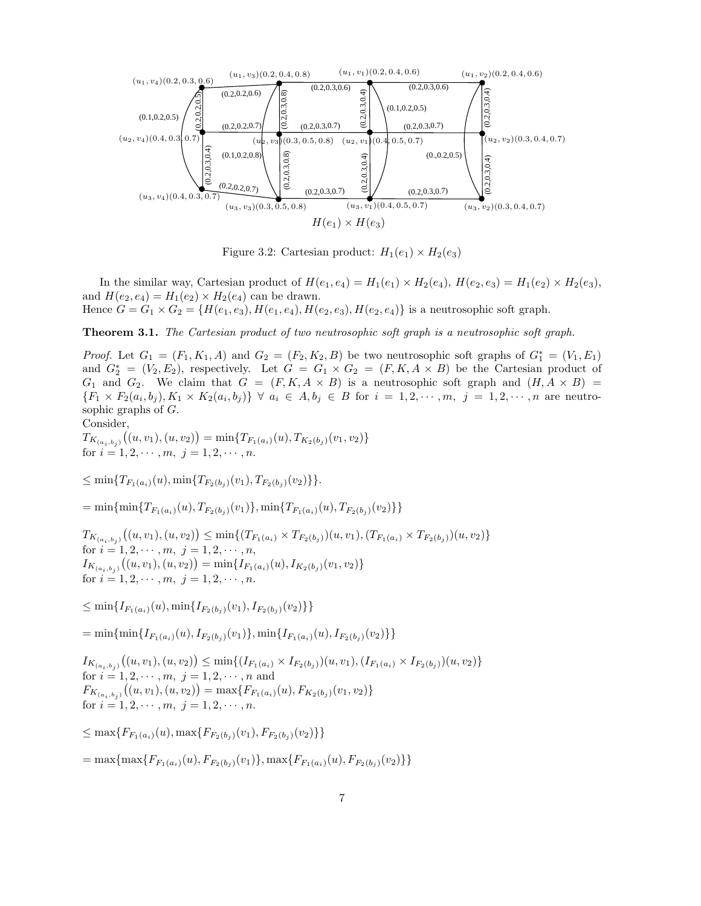

Figure 3.2: Cartesian product:  $H_1(e_1) \times H_2(e_3)$ 

In the similar way, Cartesian product of  $H(e_1, e_4) = H_1(e_1) \times H_2(e_4)$ ,  $H(e_2, e_3) = H_1(e_2) \times H_2(e_3)$ , and  $H(e_2, e_4) = H_1(e_2) \times H_2(e_4)$  can be drawn. Hence  $G = G_1 \times G_2 = \{H(e_1, e_3), H(e_1, e_4), H(e_2, e_3), H(e_2, e_4)\}\$  is a neutrosophic soft graph.

Theorem 3.1. *The Cartesian product of two neutrosophic soft graph is a neutrosophic soft graph.*

*Proof.* Let  $G_1 = (F_1, K_1, A)$  and  $G_2 = (F_2, K_2, B)$  be two neutrosophic soft graphs of  $G_1^* = (V_1, E_1)$ and  $G_2^* = (V_2, E_2)$ , respectively. Let  $G = G_1 \times G_2 = (F, K, A \times B)$  be the Cartesian product of  $G_1$  and  $G_2$ . We claim that  $G = (F, K, A \times B)$  is a neutrosophic soft graph and  $(H, A \times B)$  $\{F_1 \times F_2(a_i, b_j), K_1 \times K_2(a_i, b_j)\} \ \forall \ a_i \in A, b_j \in B \text{ for } i = 1, 2, \cdots, m, \ j = 1, 2, \cdots, n$  are neutrosophic graphs of  $G$ .

Consider,

 $T_{K_{(a_i,b_j)}}\big((u,v_1),(u,v_2)\big) = \min\{T_{F_1(a_i)}(u), T_{K_2(b_j)}(v_1,v_2)\}$ for  $i = 1, 2, \dots, m, j = 1, 2, \dots, n$ .

 $\leq \min\{T_{F_1(a_i)}(u), \min\{T_{F_2(b_i)}(v_1), T_{F_2(b_i)}(v_2)\}\}.$ 

 $=\min\{\min\{T_{F_1(a_i)}(u), T_{F_2(b_i)}(v_1)\}, \min\{T_{F_1(a_i)}(u), T_{F_2(b_i)}(v_2)\}\}\$ 

 $T_{K_{(a_i,b_j)}}((u,v_1),(u,v_2)) \le \min\{(T_{F_1(a_i)} \times T_{F_2(b_j)})(u,v_1),(T_{F_1(a_i)} \times T_{F_2(b_j)})(u,v_2)\}\$ for  $i = 1, 2, \dots, m, j = 1, 2, \dots, n$ ,  $I_{K_{(a_i,b_j)}}((u,v_1),(u,v_2)) = \min\{I_{F_1(a_i)}(u), I_{K_2(b_j)}(v_1,v_2)\}$ for  $i = 1, 2, \cdots, m, j = 1, 2, \cdots, n$ .

 $\leq \min\{I_{F_1(a_i)}(u), \min\{I_{F_2(b_i)}(v_1), I_{F_2(b_i)}(v_2)\}\}\$ 

 $=\min{\{\min{I_{F_1(a_i)}(u), I_{F_2(b_i)}(v_1)\}, \min{\{I_{F_1(a_i)}(u), I_{F_2(b_i)}(v_2)\}}\}}$ 

 $I_{K_{(a_i,b_j)}}((u,v_1),(u,v_2)) \leq \min\{(I_{F_1(a_i)} \times I_{F_2(b_j)})(u,v_1), (I_{F_1(a_i)} \times I_{F_2(b_j)})(u,v_2)\}\$ for  $i = 1, 2, \dots, m, j = 1, 2, \dots, n$  and  $F_{K_{(a_i,b_j)}}((u,v_1),(u,v_2)) = \max\{F_{F_1(a_i)}(u), F_{K_2(b_j)}(v_1,v_2)\}\$ for  $i = 1, 2, \dots, m, j = 1, 2, \dots, n$ .

 $\leq$  max $\{F_{F_1(a_i)}(u), \max\{F_{F_2(b_i)}(v_1), F_{F_2(b_i)}(v_2)\}\}\$ 

 $=\max\{\max\{F_{F_1(a_i)}(u), F_{F_2(b_i)}(v_1)\}, \max\{F_{F_1(a_i)}(u), F_{F_2(b_i)}(v_2)\}\}\$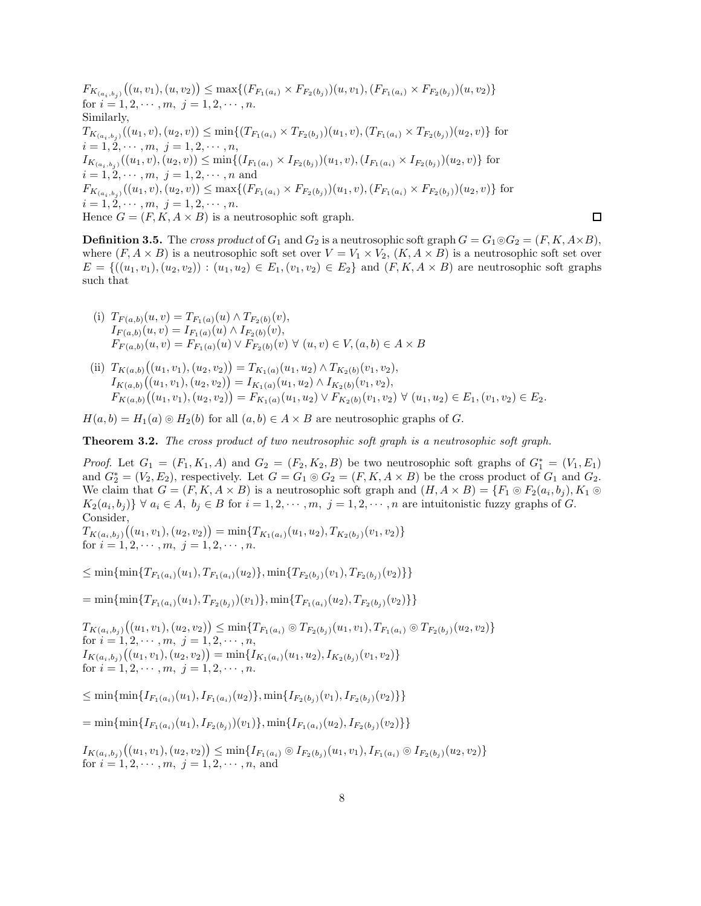$F_{K_{(a_i,b_j)}}((u,v_1),(u,v_2)) \leq \max\{(F_{F_1(a_i)} \times F_{F_2(b_j)})(u,v_1), (F_{F_1(a_i)} \times F_{F_2(b_j)})(u,v_2)\}\$ for  $i = 1, 2, \cdots, m, j = 1, 2, \cdots, n$ . Similarly,  $T_{K_{(a_i,b_j)}}((u_1,v),(u_2,v)) \le \min\{(T_{F_1(a_i)} \times T_{F_2(b_j)})(u_1,v),(T_{F_1(a_i)} \times T_{F_2(b_j)})(u_2,v)\}$  for  $i = 1, 2, \cdots, m, j = 1, 2, \cdots, n$  $I_{K_{(a_i,b_j)}}((u_1,v),(u_2,v)) \le \min\{(I_{F_1(a_i)} \times I_{F_2(b_j)})(u_1,v),(I_{F_1(a_i)} \times I_{F_2(b_j)})(u_2,v)\}$  for  $i = 1, 2, \dots, m, j = 1, 2, \dots, n$  and  $F_{K_{(a_i,b_j)}}((u_1,v),(u_2,v)) \leq \max\{(F_{F_1(a_i)} \times F_{F_2(b_j)})(u_1,v),(F_{F_1(a_i)} \times F_{F_2(b_j)})(u_2,v)\}$  for  $i = 1, 2, \cdots, m, j = 1, 2, \cdots, n.$ Hence  $G = (F, K, A \times B)$  is a neutrosophic soft graph.

**Definition 3.5.** The *cross product* of  $G_1$  and  $G_2$  is a neutrosophic soft graph  $G = G_1 \circ G_2 = (F, K, A \times B)$ , where  $(F, A \times B)$  is a neutrosophic soft set over  $V = V_1 \times V_2$ ,  $(K, A \times B)$  is a neutrosophic soft set over  $E = \{((u_1, v_1), (u_2, v_2)) : (u_1, u_2) \in E_1, (v_1, v_2) \in E_2\}$  and  $(F, K, A \times B)$  are neutrosophic soft graphs such that

□

- (i)  $T_{F(a,b)}(u,v) = T_{F_1(a)}(u) \wedge T_{F_2(b)}(v),$  $I_{F(a,b)}(u,v) = I_{F_1(a)}(u) \wedge I_{F_2(b)}(v),$  $F_{F(a,b)}(u, v) = F_{F_1(a)}(u) \vee F_{F_2(b)}(v) \vee (u, v) \in V, (a, b) \in A \times B$
- (ii)  $T_{K(a,b)}((u_1, v_1), (u_2, v_2)) = T_{K_1(a)}(u_1, u_2) \wedge T_{K_2(b)}(v_1, v_2),$  $I_{K(a,b)}((u_1,v_1),(u_2,v_2)) = I_{K_1(a)}(u_1,u_2) \wedge I_{K_2(b)}(v_1,v_2),$  $F_{K(a,b)}((u_1,v_1),(u_2,v_2)) = F_{K_1(a)}(u_1,u_2) \vee F_{K_2(b)}(v_1,v_2) \forall (u_1,u_2) \in E_1, (v_1,v_2) \in E_2.$

 $H(a, b) = H<sub>1</sub>(a) \otimes H<sub>2</sub>(b)$  for all  $(a, b) \in A \times B$  are neutrosophic graphs of G.

Theorem 3.2. *The cross product of two neutrosophic soft graph is a neutrosophic soft graph.*

*Proof.* Let  $G_1 = (F_1, K_1, A)$  and  $G_2 = (F_2, K_2, B)$  be two neutrosophic soft graphs of  $G_1^* = (V_1, E_1)$ and  $G_2^* = (V_2, E_2)$ , respectively. Let  $G = G_1 \circ G_2 = (F, K, A \times B)$  be the cross product of  $G_1$  and  $G_2$ . We claim that  $G = (F, K, A \times B)$  is a neutrosophic soft graph and  $(H, A \times B) = \{F_1 \odot F_2(a_i, b_j), K_1 \odot$  $K_2(a_i, b_j)$   $\forall a_i \in A, b_j \in B$  for  $i = 1, 2, \dots, m, j = 1, 2, \dots, n$  are intuitonistic fuzzy graphs of G. Consider,

 $T_{K(a_i,b_j)}((u_1,v_1),(u_2,v_2)) = \min\{T_{K_1(a_i)}(u_1,u_2), T_{K_2(b_j)}(v_1,v_2)\}$ for  $i = 1, 2, \cdots, m, j = 1, 2, \cdots, n$ .

 $\leq \min\{\min\{T_{F_1(a_i)}(u_1), T_{F_1(a_i)}(u_2)\}, \min\{T_{F_2(b_i)}(v_1), T_{F_2(b_i)}(v_2)\}\}\$ 

 $=\min\{\min\{T_{F_1(a_i)}(u_1), T_{F_2(b_i)}(v_1)\}, \min\{T_{F_1(a_i)}(u_2), T_{F_2(b_i)}(v_2)\}\}\$ 

 $T_{K(a_i,b_j)}((u_1,v_1),(u_2,v_2)) \leq \min\{T_{F_1(a_i)} \circ T_{F_2(b_j)}(u_1,v_1), T_{F_1(a_i)} \circ T_{F_2(b_j)}(u_2,v_2)\}$ for  $i = 1, 2, \dots, m, j = 1, 2, \dots, n$ ,  $I_{K(a_i,b_j)}\big((u_1,v_1),(u_2,v_2)\big)=\min\{I_{K_1(a_i)}(u_1,u_2),I_{K_2(b_j)}(v_1,v_2)\}$ for  $i = 1, 2, \dots, m, j = 1, 2, \dots, n$ .

 $\leq \min\{\min\{I_{F_1(a_i)}(u_1), I_{F_1(a_i)}(u_2)\}, \min\{I_{F_2(b_i)}(v_1), I_{F_2(b_i)}(v_2)\}\}\$ 

 $=\min\{\min\{I_{F_1(a_i)}(u_1), I_{F_2(b_i)}(v_1)\}, \min\{I_{F_1(a_i)}(u_2), I_{F_2(b_i)}(v_2)\}\}\$ 

 $I_{K(a_i,b_j)}((u_1,v_1),(u_2,v_2)) \leq \min\{I_{F_1(a_i)} \odot I_{F_2(b_j)}(u_1,v_1), I_{F_1(a_i)} \odot I_{F_2(b_j)}(u_2,v_2)\}$ for  $i = 1, 2, \dots, m, j = 1, 2, \dots, n$ , and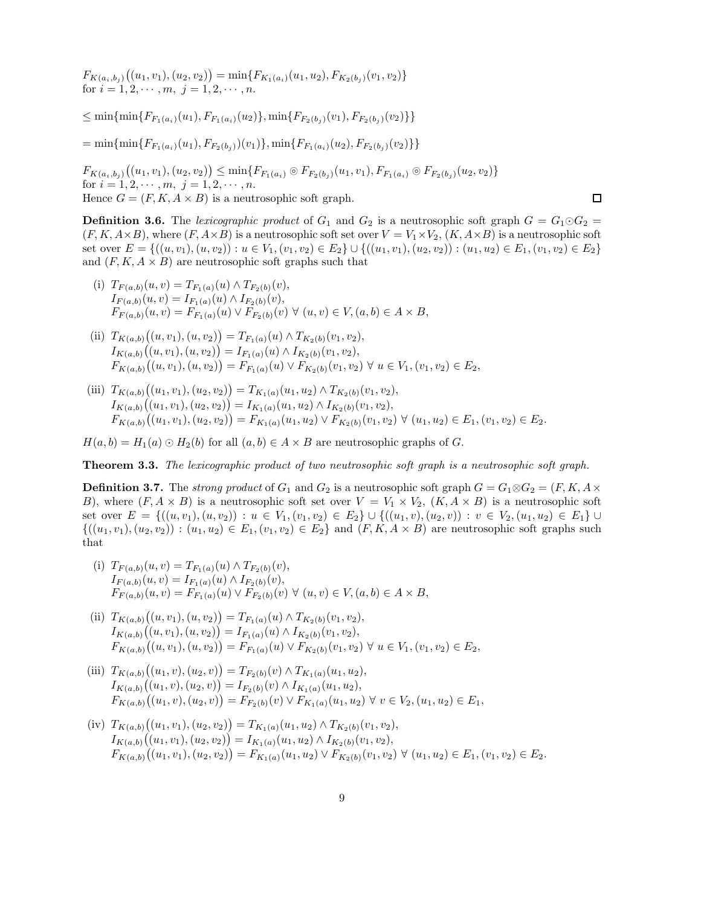$F_{K(a_i,b_j)}((u_1,v_1),(u_2,v_2)) = \min\{F_{K_1(a_i)}(u_1,u_2),F_{K_2(b_j)}(v_1,v_2)\}$ for  $i = 1, 2, \dots, m, j = 1, 2, \dots, n$ .

 $\leq \min\{\min\{F_{F_1(a_i)}(u_1), F_{F_1(a_i)}(u_2)\}, \min\{F_{F_2(b_i)}(v_1), F_{F_2(b_i)}(v_2)\}\}\$ 

 $=\min\{\min\{F_{F_1(a_i)}(u_1), F_{F_2(b_i)}(v_1)\}, \min\{F_{F_1(a_i)}(u_2), F_{F_2(b_i)}(v_2)\}\}\$ 

 $F_{K(a_i,b_j)}((u_1,v_1),(u_2,v_2)) \leq \min\{F_{F_1(a_i)} \circ F_{F_2(b_j)}(u_1,v_1), F_{F_1(a_i)} \circ F_{F_2(b_j)}(u_2,v_2)\}$ for  $i = 1, 2, \cdots, m, j = 1, 2, \cdots, n$ . Hence  $G = (F, K, A \times B)$  is a neutrosophic soft graph.

**Definition 3.6.** The *lexicographic product* of  $G_1$  and  $G_2$  is a neutrosophic soft graph  $G = G_1 \odot G_2$  $(F, K, A \times B)$ , where  $(F, A \times B)$  is a neutrosophic soft set over  $V = V_1 \times V_2$ ,  $(K, A \times B)$  is a neutrosophic soft set over  $E = \{((u, v_1), (u, v_2)) : u \in V_1, (v_1, v_2) \in E_2\} \cup \{((u_1, v_1), (u_2, v_2)) : (u_1, u_2) \in E_1, (v_1, v_2) \in E_2\}$ and  $(F, K, A \times B)$  are neutrosophic soft graphs such that

 $\Box$ 

- (i)  $T_{F(a,b)}(u,v) = T_{F_1(a)}(u) \wedge T_{F_2(b)}(v),$  $I_{F(a,b)}(u,v) = I_{F_1(a)}(u) \wedge I_{F_2(b)}(v),$  $F_{F(a,b)}(u, v) = F_{F_1(a)}(u) \vee F_{F_2(b)}(v) \vee (u, v) \in V, (a, b) \in A \times B,$
- (ii)  $T_{K(a,b)}((u, v_1), (u, v_2)) = T_{F_1(a)}(u) \wedge T_{K_2(b)}(v_1, v_2),$  $I_{K(a,b)}((u,v_1),(u,v_2)) = I_{F_1(a)}(u) \wedge I_{K_2(b)}(v_1,v_2),$  $F_{K(a,b)}((u, v_1), (u, v_2)) = F_{F_1(a)}(u) \vee F_{K_2(b)}(v_1, v_2) \forall u \in V_1, (v_1, v_2) \in E_2$
- (iii)  $T_{K(a,b)}((u_1, v_1), (u_2, v_2)) = T_{K_1(a)}(u_1, u_2) \wedge T_{K_2(b)}(v_1, v_2),$  $I_{K(a,b)}((u_1,v_1),(u_2,v_2)) = I_{K_1(a)}(u_1,u_2) \wedge I_{K_2(b)}(v_1,v_2),$  $F_{K(a,b)}((u_1,v_1),(u_2,v_2)) = F_{K_1(a)}(u_1,u_2) \vee F_{K_2(b)}(v_1,v_2) \forall (u_1,u_2) \in E_1, (v_1,v_2) \in E_2.$

 $H(a, b) = H<sub>1</sub>(a) \odot H<sub>2</sub>(b)$  for all  $(a, b) \in A \times B$  are neutrosophic graphs of G.

Theorem 3.3. *The lexicographic product of two neutrosophic soft graph is a neutrosophic soft graph.*

**Definition 3.7.** The *strong product* of  $G_1$  and  $G_2$  is a neutrosophic soft graph  $G = G_1 \otimes G_2 = (F, K, A \times G)$ B), where  $(F, A \times B)$  is a neutrosophic soft set over  $V = V_1 \times V_2$ ,  $(K, A \times B)$  is a neutrosophic soft set over  $E = \{((u, v_1), (u, v_2)) : u \in V_1, (v_1, v_2) \in E_2\} \cup \{((u_1, v), (u_2, v)) : v \in V_2, (u_1, u_2) \in E_1\} \cup$  $\{(u_1, v_1), (u_2, v_2)) : (u_1, u_2) \in E_1, (v_1, v_2) \in E_2\}$  and  $(F, K, A \times B)$  are neutrosophic soft graphs such that

- (i)  $T_{F(a,b)}(u,v) = T_{F_1(a)}(u) \wedge T_{F_2(b)}(v),$  $I_{F(a,b)}(u, v) = I_{F_1(a)}(u) \wedge I_{F_2(b)}(v),$  $F_{F(a,b)}(u, v) = F_{F_1(a)}(u) \vee F_{F_2(b)}(v) \forall (u, v) \in V, (a, b) \in A \times B,$
- (ii)  $T_{K(a,b)}((u, v_1), (u, v_2)) = T_{F_1(a)}(u) \wedge T_{K_2(b)}(v_1, v_2),$  $I_{K(a,b)}((u,v_1),(u,v_2)) = I_{F_1(a)}(u) \wedge I_{K_2(b)}(v_1,v_2),$  $F_{K(a,b)}((u, v_1), (u, v_2)) = F_{F_1(a)}(u) \vee F_{K_2(b)}(v_1, v_2) \forall u \in V_1, (v_1, v_2) \in E_2$
- (iii)  $T_{K(a,b)}((u_1, v), (u_2, v)) = T_{F_2(b)}(v) \wedge T_{K_1(a)}(u_1, u_2),$  $I_{K(a,b)}((u_1,v),(u_2,v)) = I_{F_2(b)}(v) \wedge I_{K_1(a)}(u_1,u_2),$  $F_{K(a,b)}((u_1,v),(u_2,v)) = F_{F_2(b)}(v) \vee F_{K_1(a)}(u_1,u_2) \forall v \in V_2, (u_1,u_2) \in E_1,$
- (iv)  $T_{K(a,b)}((u_1, v_1), (u_2, v_2)) = T_{K_1(a)}(u_1, u_2) \wedge T_{K_2(b)}(v_1, v_2),$  $I_{K(a,b)}((u_1,v_1),(u_2,v_2)) = I_{K_1(a)}(u_1,u_2) \wedge I_{K_2(b)}(v_1,v_2),$  $F_{K(a,b)}((u_1,v_1),(u_2,v_2)) = F_{K_1(a)}(u_1,u_2) \vee F_{K_2(b)}(v_1,v_2) \forall (u_1,u_2) \in E_1, (v_1,v_2) \in E_2.$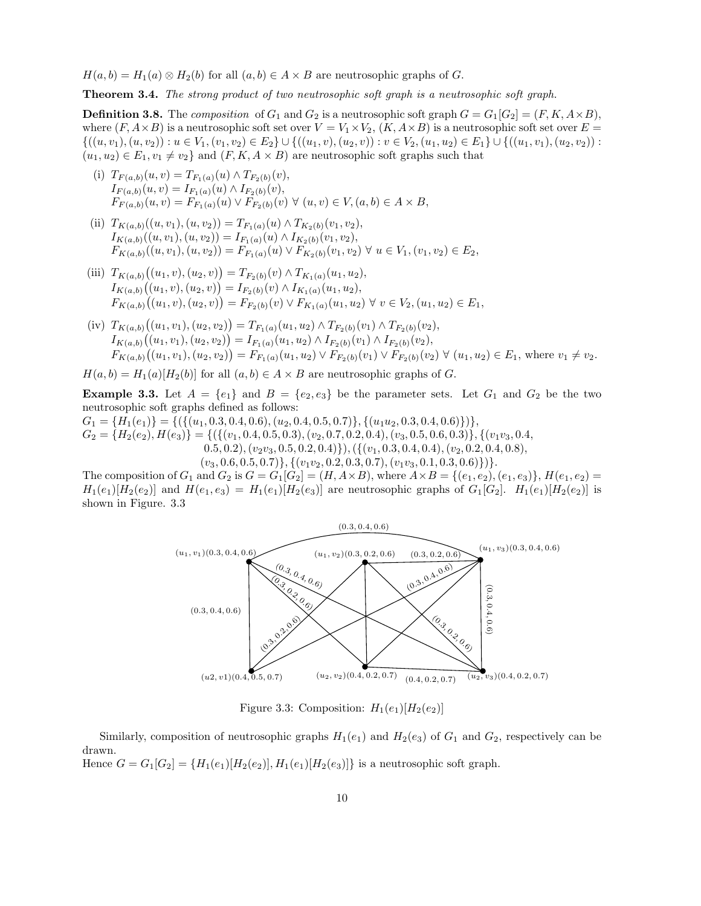$H(a, b) = H<sub>1</sub>(a) \otimes H<sub>2</sub>(b)$  for all  $(a, b) \in A \times B$  are neutrosophic graphs of G.

Theorem 3.4. *The strong product of two neutrosophic soft graph is a neutrosophic soft graph.*

**Definition 3.8.** The *composition* of  $G_1$  and  $G_2$  is a neutrosophic soft graph  $G = G_1[G_2] = (F, K, A \times B)$ , where  $(F, A \times B)$  is a neutrosophic soft set over  $V = V_1 \times V_2$ ,  $(K, A \times B)$  is a neutrosophic soft set over  $E =$  $\{((u, v_1), (u, v_2)): u \in V_1, (v_1, v_2) \in E_2\} \cup \{((u_1, v), (u_2, v)): v \in V_2, (u_1, u_2) \in E_1\} \cup \{((u_1, v_1), (u_2, v_2)): v \in V_2\}$  $(u_1, u_2) \in E_1, v_1 \neq v_2$  and  $(F, K, A \times B)$  are neutrosophic soft graphs such that

- (i)  $T_{F(a,b)}(u,v) = T_{F_1(a)}(u) \wedge T_{F_2(b)}(v),$  $I_{F(a,b)}(u,v) = I_{F_1(a)}(u) \wedge I_{F_2(b)}(v),$  $F_{F(a,b)}(u, v) = F_{F_1(a)}(u) \vee F_{F_2(b)}(v) \forall (u, v) \in V, (a, b) \in A \times B,$
- (ii)  $T_{K(a,b)}((u, v_1), (u, v_2)) = T_{F_1(a)}(u) \wedge T_{K_2(b)}(v_1, v_2),$  $I_{K(a,b)}((u, v_1), (u, v_2)) = I_{F_1(a)}(u) \wedge I_{K_2(b)}(v_1, v_2),$  $F_{K(a,b)}((u, v_1), (u, v_2)) = F_{F_1(a)}(u) \vee F_{K_2(b)}(v_1, v_2) \forall u \in V_1, (v_1, v_2) \in E_2$
- (iii)  $T_{K(a,b)}((u_1, v), (u_2, v)) = T_{F_2(b)}(v) \wedge T_{K_1(a)}(u_1, u_2),$  $I_{K(a,b)}((u_1,v),(u_2,v)) = I_{F_2(b)}(v) \wedge I_{K_1(a)}(u_1,u_2),$  $F_{K(a,b)}((u_1,v),(u_2,v)) = F_{F_2(b)}(v) \vee F_{K_1(a)}(u_1,u_2) \forall v \in V_2, (u_1,u_2) \in E_1,$
- (iv)  $T_{K(a,b)}((u_1, v_1), (u_2, v_2)) = T_{F_1(a)}(u_1, u_2) \wedge T_{F_2(b)}(v_1) \wedge T_{F_2(b)}(v_2),$  $I_{K(a,b)}((u_1,v_1),(u_2,v_2)) = I_{F_1(a)}(u_1,u_2) \wedge I_{F_2(b)}(v_1) \wedge I_{F_2(b)}(v_2),$  $F_{K(a,b)}((u_1,v_1),(u_2,v_2)) = F_{F_1(a)}(u_1,u_2) \vee F_{F_2(b)}(v_1) \vee F_{F_2(b)}(v_2) \forall (u_1,u_2) \in E_1$ , where  $v_1 \neq v_2$ .
- $H(a, b) = H<sub>1</sub>(a)[H<sub>2</sub>(b)]$  for all  $(a, b) \in A \times B$  are neutrosophic graphs of G.

**Example 3.3.** Let  $A = \{e_1\}$  and  $B = \{e_2, e_3\}$  be the parameter sets. Let  $G_1$  and  $G_2$  be the two neutrosophic soft graphs defined as follows:

 $G_1 = \{H_1(e_1)\} = \{(\{(u_1, 0.3, 0.4, 0.6), (u_2, 0.4, 0.5, 0.7)\}, \{(u_1u_2, 0.3, 0.4, 0.6)\})\},\$ G<sup>2</sup> = {H2(e2), H(e3)} = {({(v1, 0.4, 0.5, 0.3),(v2, 0.7, 0.2, 0.4),(v3, 0.5, 0.6, 0.3)}, {(v1v3, 0.4,  $(0.5, 0.2), (v_2v_3, 0.5, 0.2, 0.4)\}, (\{(v_1, 0.3, 0.4, 0.4), (v_2, 0.2, 0.4, 0.8),$  $(v_3, 0.6, 0.5, 0.7)$ ,  $\{(v_1v_2, 0.2, 0.3, 0.7), (v_1v_3, 0.1, 0.3, 0.6)\})$ .

The composition of  $G_1$  and  $G_2$  is  $G = G_1[G_2] = (H, A \times B)$ , where  $A \times B = \{(e_1, e_2), (e_1, e_3)\}, H(e_1, e_2) =$  $H_1(e_1)[H_2(e_2)]$  and  $H(e_1, e_3) = H_1(e_1)[H_2(e_3)]$  are neutrosophic graphs of  $G_1[G_2]$ .  $H_1(e_1)[H_2(e_2)]$  is shown in Figure. 3.3



Figure 3.3: Composition:  $H_1(e_1)[H_2(e_2)]$ 

Similarly, composition of neutrosophic graphs  $H_1(e_1)$  and  $H_2(e_3)$  of  $G_1$  and  $G_2$ , respectively can be drawn. Hence  $G = G_1[G_2] = \{H_1(e_1)[H_2(e_2)], H_1(e_1)[H_2(e_3)]\}$  is a neutrosophic soft graph.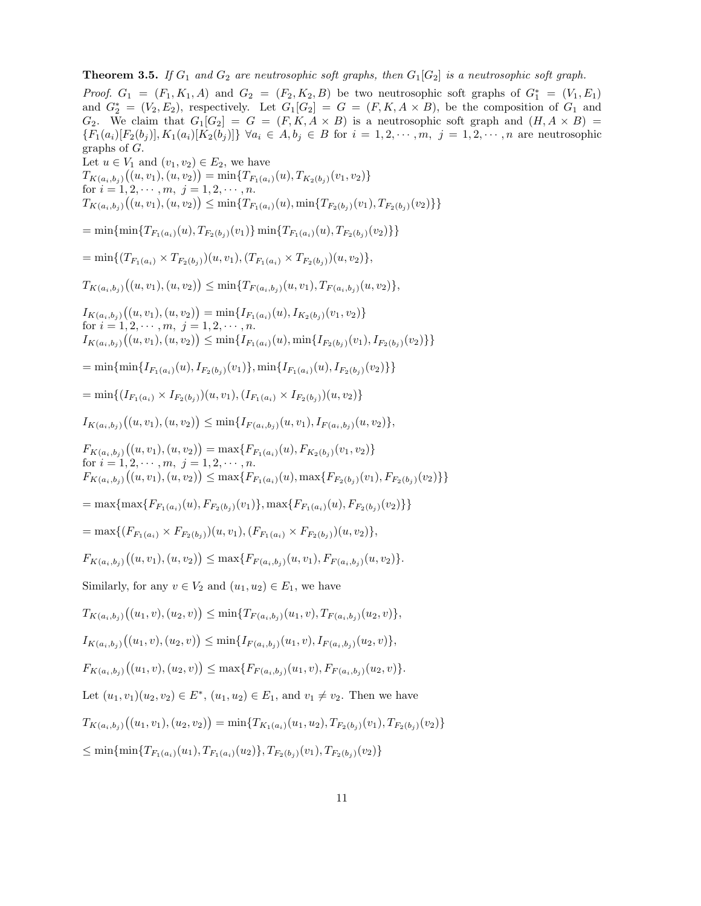**Theorem 3.5.** *If*  $G_1$  *and*  $G_2$  *are neutrosophic soft graphs, then*  $G_1[G_2]$  *is a neutrosophic soft graph. Proof.*  $G_1 = (F_1, K_1, A)$  and  $G_2 = (F_2, K_2, B)$  be two neutrosophic soft graphs of  $G_1^* = (V_1, E_1)$ and  $G_2^* = (V_2, E_2)$ , respectively. Let  $G_1[G_2] = G = (F, K, A \times B)$ , be the composition of  $G_1$  and  $G_2$ . We claim that  $G_1[G_2] = G = (F, K, A \times B)$  is a neutrosophic soft graph and  $(H, A \times B) =$  ${F_1(a_i)[F_2(b_j)], K_1(a_i)[K_2(b_j)] } \forall a_i \in A, b_j \in B \text{ for } i = 1, 2, \cdots, m, j = 1, 2, \cdots, n \text{ are neutroophic}}$ graphs of G. Let  $u \in V_1$  and  $(v_1, v_2) \in E_2$ , we have  $T_{K(a_i,b_j)}\big((u,v_1),(u,v_2)\big) = \min\{T_{F_1(a_i)}(u), T_{K_2(b_j)}(v_1,v_2)\}$ for  $i = 1, 2, \dots, m, j = 1, 2, \dots, n$ .  $T_{K(a_i,b_j)}((u,v_1),(u,v_2)) \leq \min\{T_{F_1(a_i)}(u),\min\{T_{F_2(b_j)}(v_1),T_{F_2(b_j)}(v_2)\}\}\$  $=\min\{\min\{T_{F_1(a_i)}(u), T_{F_2(b_i)}(v_1)\}\min\{T_{F_1(a_i)}(u), T_{F_2(b_i)}(v_2)\}\}\$  $=\min\{(T_{F_1(a_i)}\times T_{F_2(b_i)})(u, v_1), (T_{F_1(a_i)}\times T_{F_2(b_i)})(u, v_2)\},$  $T_{K(a_i,b_j)}\big((u,v_1),(u,v_2)\big) \leq \min\{T_{F(a_i,b_j)}(u,v_1),T_{F(a_i,b_j)}(u,v_2)\},$  $I_{K(a_i,b_j)}((u,v_1),(u,v_2)) = \min\{I_{F_1(a_i)}(u), I_{K_2(b_j)}(v_1,v_2)\}$ for  $i = 1, 2, \dots, m, j = 1, 2, \dots, n$ .  $I_{K(a_i,b_j)}((u,v_1),(u,v_2)) \leq \min\{I_{F_1(a_i)}(u),\min\{I_{F_2(b_j)}(v_1),I_{F_2(b_j)}(v_2)\}\}\$  $=\min\{\min\{I_{F_1(a_i)}(u), I_{F_2(b_i)}(v_1)\}, \min\{I_{F_1(a_i)}(u), I_{F_2(b_i)}(v_2)\}\}\$  $=\min\{(I_{F_1(a_i)} \times I_{F_2(b_i)})(u, v_1), (I_{F_1(a_i)} \times I_{F_2(b_i)})(u, v_2)\}$  $I_{K(a_i,b_j)}((u,v_1),(u,v_2)) \leq \min\{I_{F(a_i,b_j)}(u,v_1),I_{F(a_i,b_j)}(u,v_2)\},$  $F_{K(a_i,b_j)}((u,v_1),(u,v_2)) = \max\{F_{F_1(a_i)}(u), F_{K_2(b_j)}(v_1,v_2)\}\$ for  $i = 1, 2, \dots, m, j = 1, 2, \dots, n$ .  $F_{K(a_i,b_j)}((u,v_1),(u,v_2)) \leq \max\{F_{F_1(a_i)}(u),\max\{F_{F_2(b_j)}(v_1),F_{F_2(b_j)}(v_2)\}\}\$  $=\max\{\max\{F_{F_1(a_i)}(u), F_{F_2(b_i)}(v_1)\}, \max\{F_{F_1(a_i)}(u), F_{F_2(b_i)}(v_2)\}\}\$  $=\max\{(F_{F_1(a_i)} \times F_{F_2(b_i)})(u, v_1), (F_{F_1(a_i)} \times F_{F_2(b_i)})(u, v_2)\},$  $F_{K(a_i,b_j)}((u,v_1),(u,v_2)) \leq \max\{F_{F(a_i,b_j)}(u,v_1), F_{F(a_i,b_j)}(u,v_2)\}.$ Similarly, for any  $v \in V_2$  and  $(u_1, u_2) \in E_1$ , we have  $T_{K(a_i,b_j)}\big((u_1,v),(u_2,v)\big) \leq \min\{T_{F(a_i,b_j)}(u_1,v),T_{F(a_i,b_j)}(u_2,v)\},$  $I_{K(a_i,b_j)}((u_1,v),(u_2,v)) \leq \min\{I_{F(a_i,b_j)}(u_1,v),I_{F(a_i,b_j)}(u_2,v)\},$  $F_{K(a_i,b_j)}((u_1,v),(u_2,v)) \leq \max\{F_{F(a_i,b_j)}(u_1,v), F_{F(a_i,b_j)}(u_2,v)\}.$ Let  $(u_1, v_1)(u_2, v_2) \in E^*$ ,  $(u_1, u_2) \in E_1$ , and  $v_1 \neq v_2$ . Then we have  $T_{K(a_i,b_j)}((u_1,v_1),(u_2,v_2)) = \min\{T_{K_1(a_i)}(u_1,u_2), T_{F_2(b_j)}(v_1), T_{F_2(b_j)}(v_2)\}$  $\leq \min\{\min\{T_{F_1(a_i)}(u_1), T_{F_1(a_i)}(u_2)\}, T_{F_2(b_i)}(v_1), T_{F_2(b_i)}(v_2)\}\$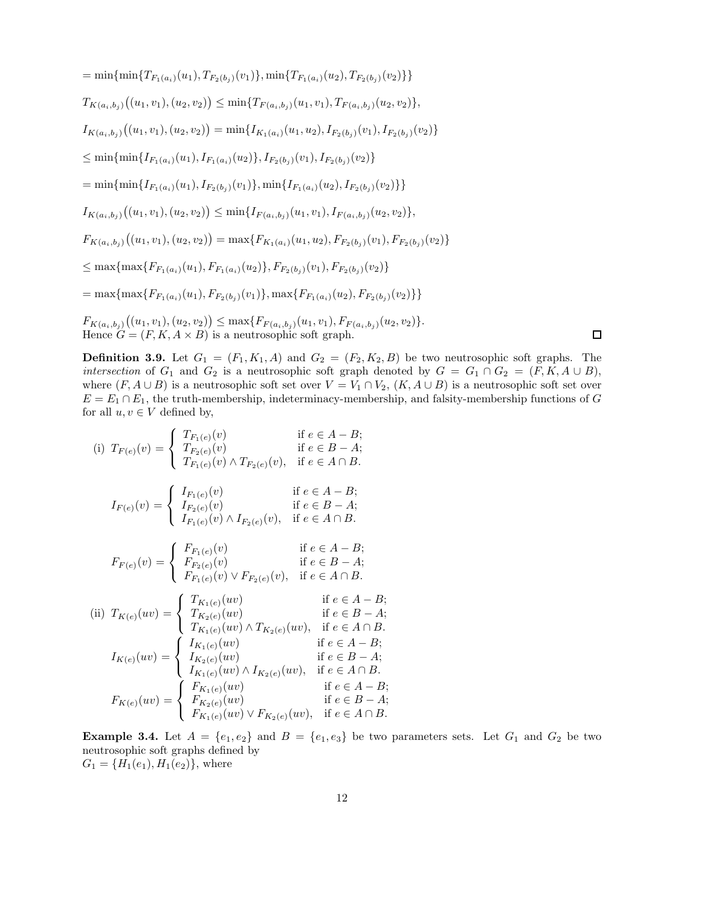$=\min\{\min\{T_{F_1(a_i)}(u_1), T_{F_2(b_i)}(v_1)\}, \min\{T_{F_1(a_i)}(u_2), T_{F_2(b_i)}(v_2)\}\}\$  $T_{K(a_i,b_j)}\big((u_1,v_1),(u_2,v_2)\big) \leq \min\{T_{F(a_i,b_j)}(u_1,v_1),T_{F(a_i,b_j)}(u_2,v_2)\},$  $I_{K(a_i,b_j)}((u_1,v_1),(u_2,v_2)) = \min\{I_{K_1(a_i)}(u_1,u_2), I_{F_2(b_j)}(v_1), I_{F_2(b_j)}(v_2)\}$  $\leq \min\{\min\{I_{F_1(a_i)}(u_1), I_{F_1(a_i)}(u_2)\}, I_{F_2(b_i)}(v_1), I_{F_2(b_i)}(v_2)\}\$  $=\min\{\min\{I_{F_1(a_i)}(u_1), I_{F_2(b_i)}(v_1)\}, \min\{I_{F_1(a_i)}(u_2), I_{F_2(b_i)}(v_2)\}\}\$  $I_{K(a_i,b_j)}((u_1,v_1),(u_2,v_2)) \leq \min\{I_{F(a_i,b_j)}(u_1,v_1),I_{F(a_i,b_j)}(u_2,v_2)\},$  $F_{K(a_i,b_j)}((u_1,v_1),(u_2,v_2)) = \max\{F_{K_1(a_i)}(u_1,u_2), F_{F_2(b_j)}(v_1), F_{F_2(b_j)}(v_2)\}$  $\leq$  max $\{$ max $\{F_{F_1(a_i)}(u_1), F_{F_1(a_i)}(u_2)\}, F_{F_2(b_i)}(v_1), F_{F_2(b_i)}(v_2)\}$  $=\max\{\max\{F_{F_1(a_i)}(u_1), F_{F_2(b_i)}(v_1)\}, \max\{F_{F_1(a_i)}(u_2), F_{F_2(b_j)}(v_2)\}\}\$  $F_{K(a_i,b_j)}((u_1,v_1),(u_2,v_2)) \leq \max\{F_{F(a_i,b_j)}(u_1,v_1),F_{F(a_i,b_j)}(u_2,v_2)\}.$ 

**Definition 3.9.** Let  $G_1 = (F_1, K_1, A)$  and  $G_2 = (F_2, K_2, B)$  be two neutrosophic soft graphs. The *intersection* of  $G_1$  and  $G_2$  is a neutrosophic soft graph denoted by  $G = G_1 \cap G_2 = (F, K, A \cup B)$ , where  $(F, A \cup B)$  is a neutrosophic soft set over  $V = V_1 \cap V_2$ ,  $(K, A \cup B)$  is a neutrosophic soft set over  $E = E_1 \cap E_1$ , the truth-membership, indeterminacy-membership, and falsity-membership functions of G for all  $u, v \in V$  defined by,

 $\Box$ 

(i) 
$$
T_{F(e)}(v) = \begin{cases} T_{F_1(e)}(v) & \text{if } e \in A - B; \\ T_{F_2(e)}(v) & \text{if } e \in B - A; \end{cases}
$$
  
\n $I_{F(e)}(v) = \begin{cases} I_{F_1(e)}(v) \land T_{F_2(e)}(v), & \text{if } e \in A \cap B. \end{cases}$   
\n $I_{F(e)}(v) = \begin{cases} I_{F_1(e)}(v) & \text{if } e \in A - B; \\ I_{F_2(e)}(v) & \text{if } e \in B - A; \end{cases}$   
\n $F_{F(e)}(v) = \begin{cases} F_{F_1(e)}(v) & \text{if } e \in A \cap B. \\ F_{F_2(e)}(v) & \text{if } e \in A - B; \end{cases}$   
\n(ii)  $T_{K(e)}(uv) = \begin{cases} T_{K_1(e)}(uv) & \text{if } e \in A - B; \\ T_{K_2(e)}(uv) & \text{if } e \in A - B; \\ T_{K_2(e)}(uv) & \text{if } e \in B - A; \end{cases}$   
\n $I_{K(e)}(uv) = \begin{cases} I_{K_1(e)}(uv) & \text{if } e \in A - B; \\ I_{K_2(e)}(uv) \land T_{K_2(e)}(uv), & \text{if } e \in A \cap B. \end{cases}$   
\n $I_{K(e)}(uv) = \begin{cases} I_{K_1(e)}(uv) & \text{if } e \in A - B; \\ I_{K_2(e)}(uv) & \text{if } e \in A - B; \\ I_{K_1(e)}(uv) \land I_{K_2(e)}(uv), & \text{if } e \in A \cap B. \end{cases}$   
\n $F_{K(e)}(uv) = \begin{cases} F_{K_1(e)}(uv) & \text{if } e \in A - B; \\ F_{K_2(e)}(uv) & \text{if } e \in A - B; \\ F_{K_1(e)}(uv) \lor F_{K_2(e)}(uv), & \text{if } e \in A \cap B. \end{cases}$ 

Hence  $G = (F, K, A \times B)$  is a neutrosophic soft graph.

**Example 3.4.** Let  $A = \{e_1, e_2\}$  and  $B = \{e_1, e_3\}$  be two parameters sets. Let  $G_1$  and  $G_2$  be two neutrosophic soft graphs defined by  $G_1 = \{H_1(e_1), H_1(e_2)\}\text{, where}$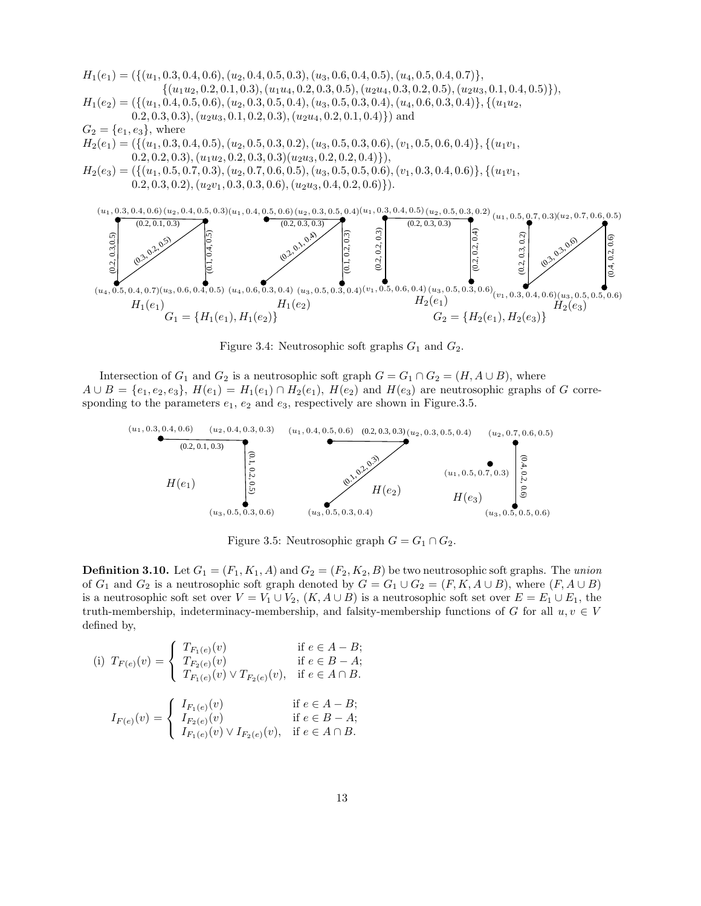



Figure 3.4: Neutrosophic soft graphs  $G_1$  and  $G_2$ .

Intersection of  $G_1$  and  $G_2$  is a neutrosophic soft graph  $G = G_1 \cap G_2 = (H, A \cup B)$ , where  $A \cup B = \{e_1, e_2, e_3\}, H(e_1) = H_1(e_1) \cap H_2(e_1), H(e_2)$  and  $H(e_3)$  are neutrosophic graphs of G corresponding to the parameters  $e_1, e_2$  and  $e_3$ , respectively are shown in Figure.3.5.



Figure 3.5: Neutrosophic graph  $G = G_1 \cap G_2$ .

**Definition 3.10.** Let  $G_1 = (F_1, K_1, A)$  and  $G_2 = (F_2, K_2, B)$  be two neutrosophic soft graphs. The *union* of  $G_1$  and  $G_2$  is a neutrosophic soft graph denoted by  $G = G_1 \cup G_2 = (F, K, A \cup B)$ , where  $(F, A \cup B)$ is a neutrosophic soft set over  $V = V_1 \cup V_2$ ,  $(K, A \cup B)$  is a neutrosophic soft set over  $E = E_1 \cup E_1$ , the truth-membership, indeterminacy-membership, and falsity-membership functions of G for all  $u, v \in V$ defined by,

(i) 
$$
T_{F(e)}(v) = \begin{cases} T_{F_1(e)}(v) & \text{if } e \in A - B; \\ T_{F_2(e)}(v) & \text{if } e \in B - A; \\ T_{F_1(e)}(v) \vee T_{F_2(e)}(v), & \text{if } e \in A \cap B. \end{cases}
$$
  

$$
I_{F(e)}(v) = \begin{cases} I_{F_1(e)}(v) & \text{if } e \in A - B; \\ I_{F_2(e)}(v) & \text{if } e \in B - A; \\ I_{F_1(e)}(v) \vee I_{F_2(e)}(v), & \text{if } e \in A \cap B. \end{cases}
$$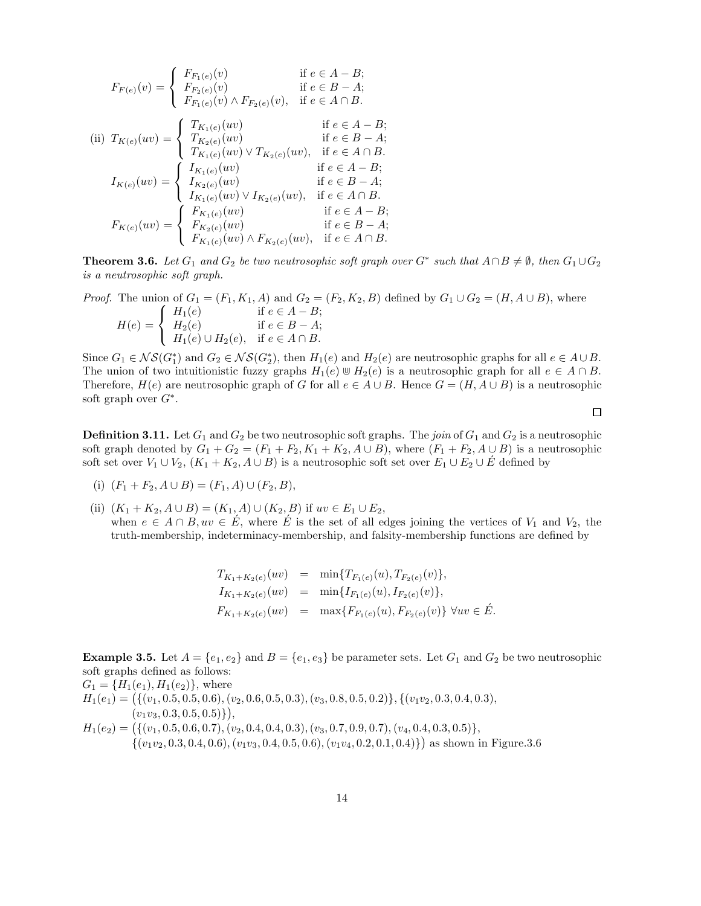$$
F_{F(e)}(v) = \begin{cases} F_{F_1(e)}(v) & \text{if } e \in A - B; \\ F_{F_2(e)}(v) & \text{if } e \in B - A; \end{cases}
$$
  
\n(ii) 
$$
T_{K(e)}(uv) = \begin{cases} T_{K_1(e)}(uv) \wedge F_{F_2(e)}(v), & \text{if } e \in A \cap B. \\ T_{K_2(e)}(uv) & \text{if } e \in A - B; \\ T_{K_1(e)}(uv) \vee T_{K_2(e)}(uv), & \text{if } e \in B - A; \end{cases}
$$
  
\n
$$
I_{K(e)}(uv) = \begin{cases} I_{K_1(e)}(uv) \wedge T_{K_2(e)}(uv), & \text{if } e \in A \cap B. \\ I_{K_2(e)}(uv) & \text{if } e \in B - A; \\ I_{K_1(e)}(uv) \vee I_{K_2(e)}(uv), & \text{if } e \in A \cap B. \end{cases}
$$
  
\n
$$
F_{K(e)}(uv) = \begin{cases} F_{K_1(e)}(uv) & \text{if } e \in A - B; \\ F_{K_2(e)}(uv) & \text{if } e \in A - B; \\ F_{K_1(e)}(uv) \wedge F_{K_2(e)}(uv), & \text{if } e \in B - A; \end{cases}
$$

**Theorem 3.6.** Let  $G_1$  and  $G_2$  be two neutrosophic soft graph over  $G^*$  such that  $A \cap B \neq \emptyset$ , then  $G_1 \cup G_2$ *is a neutrosophic soft graph.*

*Proof.* The union of  $G_1 = (F_1, K_1, A)$  and  $G_2 = (F_2, K_2, B)$  defined by  $G_1 \cup G_2 = (H, A \cup B)$ , where  $H(e) =$  $\sqrt{ }$ <sup>J</sup>  $\mathcal{L}$  $H_1(e)$  if  $e \in A - B;$  $H_2(e)$  if  $e \in B - A;$  $H_1(e) \cup H_2(e)$ , if  $e \in A \cap B$ .

Since  $G_1 \in \mathcal{NS}(G_1^*)$  and  $G_2 \in \mathcal{NS}(G_2^*)$ , then  $H_1(e)$  and  $H_2(e)$  are neutrosophic graphs for all  $e \in A \cup B$ . The union of two intuitionistic fuzzy graphs  $H_1(e) \cup H_2(e)$  is a neutrosophic graph for all  $e \in A \cap B$ . Therefore,  $H(e)$  are neutrosophic graph of G for all  $e \in A \cup B$ . Hence  $G = (H, A \cup B)$  is a neutrosophic soft graph over  $G^*$ .

**Definition 3.11.** Let  $G_1$  and  $G_2$  be two neutrosophic soft graphs. The *join* of  $G_1$  and  $G_2$  is a neutrosophic soft graph denoted by  $G_1 + G_2 = (F_1 + F_2, K_1 + K_2, A \cup B)$ , where  $(F_1 + F_2, A \cup B)$  is a neutrosophic soft set over  $V_1 \cup V_2$ ,  $(K_1 + K_2, A \cup B)$  is a neutrosophic soft set over  $E_1 \cup E_2 \cup E$  defined by

- (i)  $(F_1 + F_2, A \cup B) = (F_1, A) \cup (F_2, B),$
- (ii)  $(K_1 + K_2, A \cup B) = (K_1, A) \cup (K_2, B)$  if  $uv \in E_1 \cup E_2$ , when  $e \in A \cap B$ ,  $uv \in \hat{E}$ , where  $\hat{E}$  is the set of all edges joining the vertices of  $V_1$  and  $V_2$ , the truth-membership, indeterminacy-membership, and falsity-membership functions are defined by

$$
T_{K_1+K_2(e)}(uv) = \min\{T_{F_1(e)}(u), T_{F_2(e)}(v)\},
$$
  
\n
$$
I_{K_1+K_2(e)}(uv) = \min\{I_{F_1(e)}(u), I_{F_2(e)}(v)\},
$$
  
\n
$$
F_{K_1+K_2(e)}(uv) = \max\{F_{F_1(e)}(u), F_{F_2(e)}(v)\} \forall uv \in \hat{E}
$$

**Example 3.5.** Let  $A = \{e_1, e_2\}$  and  $B = \{e_1, e_3\}$  be parameter sets. Let  $G_1$  and  $G_2$  be two neutrosophic soft graphs defined as follows:  $\overline{H}(t)$ ,  $\overline{H}(e)$ 

$$
G_1 = \{H_1(e_1), H_1(e_2)\}, \text{ where}
$$
  
\n
$$
H_1(e_1) = \{ \{(v_1, 0.5, 0.5, 0.6), (v_2, 0.6, 0.5, 0.3), (v_3, 0.8, 0.5, 0.2) \}, \{(v_1v_2, 0.3, 0.4, 0.3), (v_1v_3, 0.3, 0.5, 0.5) \} \},
$$
  
\n
$$
H_1(e_2) = \{ \{(v_1, 0.5, 0.6, 0.7), (v_2, 0.4, 0.4, 0.3), (v_3, 0.7, 0.9, 0.7), (v_4, 0.4, 0.3, 0.5) \}, \{(v_1v_2, 0.3, 0.4, 0.6), (v_1v_3, 0.4, 0.5, 0.6), (v_1v_4, 0.2, 0.1, 0.4) \} \}
$$
 as shown in Figure 3.6

 $\Box$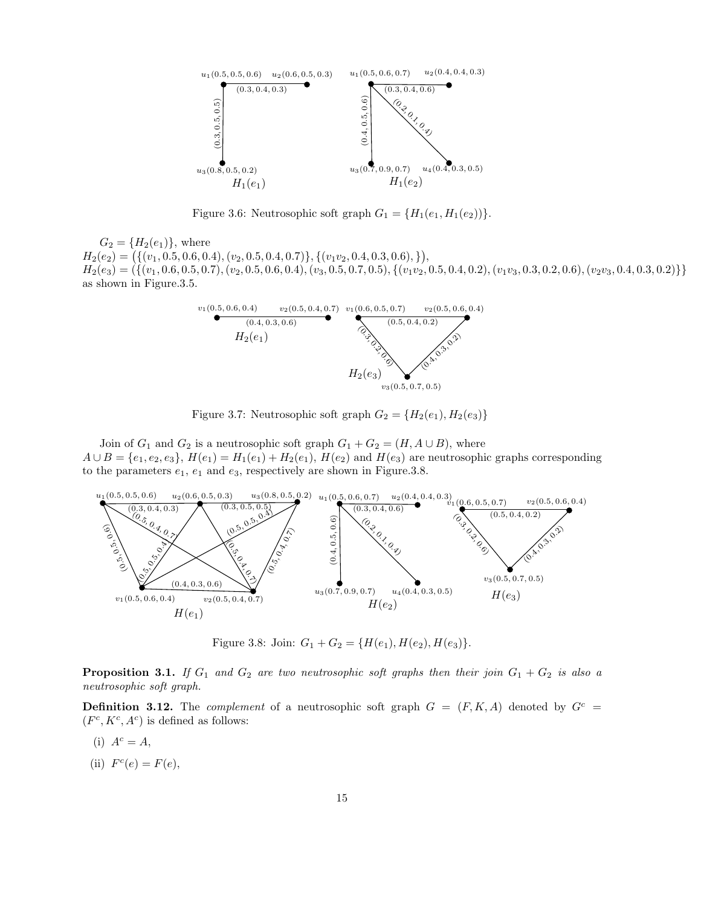

Figure 3.6: Neutrosophic soft graph  $G_1 = \{H_1(e_1, H_1(e_2))\}.$ 

 $G_2 = \{H_2(e_1)\}\,$ , where  $H_2(e_2) = (\{(v_1, 0.5, 0.6, 0.4), (v_2, 0.5, 0.4, 0.7)\}, \{(v_1v_2, 0.4, 0.3, 0.6), \})$  $H_2(e_3) = (\{(v_1, 0.6, 0.5, 0.7), (v_2, 0.5, 0.6, 0.4), (v_3, 0.5, 0.7, 0.5), (\{(v_1v_2, 0.5, 0.4, 0.2), (v_1v_3, 0.3, 0.2, 0.6), (v_2v_3, 0.4, 0.3, 0.2)\}\}$ as shown in Figure.3.5.



Figure 3.7: Neutrosophic soft graph  $G_2 = \{H_2(e_1), H_2(e_3)\}\$ 

Join of  $G_1$  and  $G_2$  is a neutrosophic soft graph  $G_1 + G_2 = (H, A \cup B)$ , where  $A \cup B = \{e_1, e_2, e_3\}, H(e_1) = H_1(e_1) + H_2(e_1), H(e_2)$  and  $H(e_3)$  are neutrosophic graphs corresponding to the parameters  $e_1$ ,  $e_1$  and  $e_3$ , respectively are shown in Figure.3.8.



Figure 3.8: Join:  $G_1 + G_2 = \{H(e_1), H(e_2), H(e_3)\}.$ 

**Proposition 3.1.** *If*  $G_1$  *and*  $G_2$  *are two neutrosophic soft graphs then their join*  $G_1 + G_2$  *is also a neutrosophic soft graph.*

**Definition 3.12.** The *complement* of a neutrosophic soft graph  $G = (F, K, A)$  denoted by  $G<sup>c</sup>$  $(F^c, K^c, A^c)$  is defined as follows:

- (i)  $A^c = A$ ,
- (ii)  $F^c(e) = F(e)$ ,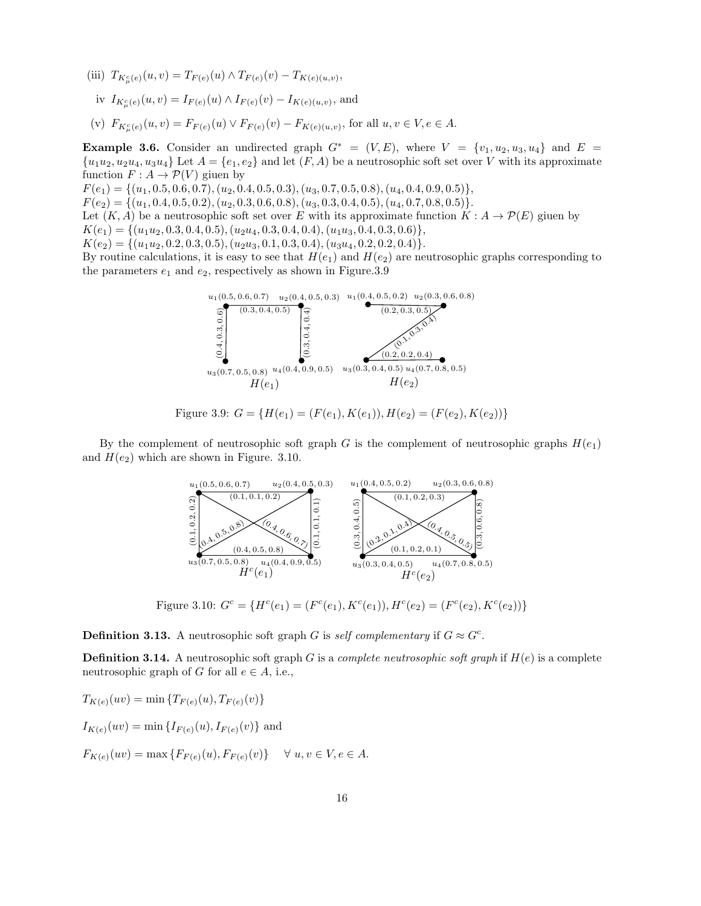- (iii)  $T_{K^c_{\mu}(e)}(u, v) = T_{F(e)}(u) \wedge T_{F(e)}(v) T_{K(e)(u, v)},$ iv  $I_{K^c_{\mu}(e)}(u,v) = I_{F(e)}(u) \wedge I_{F(e)}(v) - I_{K(e)(u,v)}$ , and
- (v)  $F_{K^c_{\mu}(e)}(u, v) = F_{F(e)}(u) \vee F_{F(e)}(v) F_{K(e)(u, v)},$  for all  $u, v \in V, e \in A$ .

Example 3.6. Consider an undirected graph  $G^* = (V, E)$ , where  $V = \{v_1, u_2, u_3, u_4\}$  and  $E =$  ${u_1u_2, u_2u_4, u_3u_4}$  Let  $A = {e_1, e_2}$  and let  $(F, A)$  be a neutrosophic soft set over V with its approximate function  $F: A \to \mathcal{P}(V)$  giuen by

 $F(e_1) = \{(u_1, 0.5, 0.6, 0.7), (u_2, 0.4, 0.5, 0.3), (u_3, 0.7, 0.5, 0.8), (u_4, 0.4, 0.9, 0.5)\},\$ 

 $F(e_2) = \{(u_1, 0.4, 0.5, 0.2), (u_2, 0.3, 0.6, 0.8), (u_3, 0.3, 0.4, 0.5), (u_4, 0.7, 0.8, 0.5)\}.$ 

Let  $(K, A)$  be a neutrosophic soft set over E with its approximate function  $K : A \to \mathcal{P}(E)$  giuen by

 $K(e_1) = \{(u_1u_2, 0.3, 0.4, 0.5), (u_2u_4, 0.3, 0.4, 0.4), (u_1u_3, 0.4, 0.3, 0.6)\},\$ 

 $K(e_2) = \{(u_1u_2, 0.2, 0.3, 0.5), (u_2u_3, 0.1, 0.3, 0.4), (u_3u_4, 0.2, 0.2, 0.4)\}.$ 

By routine calculations, it is easy to see that  $H(e_1)$  and  $H(e_2)$  are neutrosophic graphs corresponding to the parameters  $e_1$  and  $e_2$ , respectively as shown in Figure.3.9



Figure 3.9: 
$$
G = \{H(e_1) = (F(e_1), K(e_1)), H(e_2) = (F(e_2), K(e_2))\}
$$

By the complement of neutrosophic soft graph G is the complement of neutrosophic graphs  $H(e_1)$ and  $H(e_2)$  which are shown in Figure. 3.10.



Figure 3.10:  $G^c = \{H^c(e_1) = (F^c(e_1), K^c(e_1)), H^c(e_2) = (F^c(e_2), K^c(e_2))\}$ 

**Definition 3.13.** A neutrosophic soft graph G is *self complementary* if  $G \approx G^c$ .

Definition 3.14. A neutrosophic soft graph G is a *complete neutrosophic soft graph* if H(e) is a complete neutrosophic graph of G for all  $e \in A$ , i.e.,

$$
T_{K(e)}(uv) = \min \{ T_{F(e)}(u), T_{F(e)}(v) \}
$$
  
\n
$$
I_{K(e)}(uv) = \min \{ I_{F(e)}(u), I_{F(e)}(v) \}
$$
 and  
\n
$$
F_{K(e)}(uv) = \max \{ F_{F(e)}(u), F_{F(e)}(v) \} \quad \forall u, v \in V, e \in A.
$$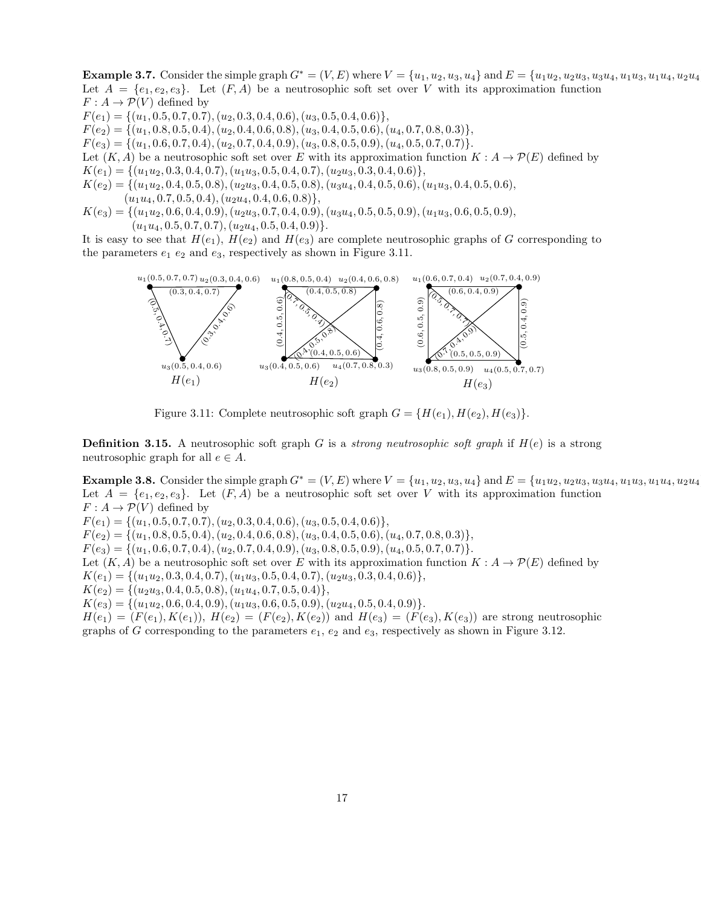**Example 3.7.** Consider the simple graph  $G^* = (V, E)$  where  $V = \{u_1, u_2, u_3, u_4\}$  and  $E = \{u_1u_2, u_2u_3, u_3u_4, u_1u_3, u_1u_4, u_2u_4, u_3u_5, u_1u_4, u_2u_5, u_3u_6, u_1u_5, u_2u_4, u_3u_5, u_1u_4, u_2u_4, u_3u_5, u_1u_4, u_2u_4, u_3$ Let  $A = \{e_1, e_2, e_3\}$ . Let  $(F, A)$  be a neutrosophic soft set over V with its approximation function  $F: A \to \mathcal{P}(V)$  defined by  $F(e_1) = \{(u_1, 0.5, 0.7, 0.7), (u_2, 0.3, 0.4, 0.6), (u_3, 0.5, 0.4, 0.6)\},\$  $F(e_2) = \{(u_1, 0.8, 0.5, 0.4), (u_2, 0.4, 0.6, 0.8), (u_3, 0.4, 0.5, 0.6), (u_4, 0.7, 0.8, 0.3)\},\$  $F(e_3) = \{(u_1, 0.6, 0.7, 0.4), (u_2, 0.7, 0.4, 0.9), (u_3, 0.8, 0.5, 0.9), (u_4, 0.5, 0.7, 0.7)\}.$ Let  $(K, A)$  be a neutrosophic soft set over E with its approximation function  $K : A \to \mathcal{P}(E)$  defined by  $K(e_1) = \{(u_1u_2, 0.3, 0.4, 0.7), (u_1u_3, 0.5, 0.4, 0.7), (u_2u_3, 0.3, 0.4, 0.6)\},\$  $K(e_2) = \{(u_1u_2, 0.4, 0.5, 0.8), (u_2u_3, 0.4, 0.5, 0.8), (u_3u_4, 0.4, 0.5, 0.6), (u_1u_3, 0.4, 0.5, 0.6),$  $(u_1u_4, 0.7, 0.5, 0.4), (u_2u_4, 0.4, 0.6, 0.8)\},$ 

 $K(e_3) = \{(u_1u_2, 0.6, 0.4, 0.9), (u_2u_3, 0.7, 0.4, 0.9), (u_3u_4, 0.5, 0.5, 0.9), (u_1u_3, 0.6, 0.5, 0.9),$  $(u_1u_4, 0.5, 0.7, 0.7), (u_2u_4, 0.5, 0.4, 0.9)\}.$ 

It is easy to see that  $H(e_1)$ ,  $H(e_2)$  and  $H(e_3)$  are complete neutrosophic graphs of G corresponding to the parameters  $e_1$   $e_2$  and  $e_3$ , respectively as shown in Figure 3.11.



Figure 3.11: Complete neutrosophic soft graph  $G = \{H(e_1), H(e_2), H(e_3)\}.$ 

**Definition 3.15.** A neutrosophic soft graph G is a *strong neutrosophic soft graph* if  $H(e)$  is a strong neutrosophic graph for all  $e \in A$ .

**Example 3.8.** Consider the simple graph  $G^* = (V, E)$  where  $V = \{u_1, u_2, u_3, u_4\}$  and  $E = \{u_1u_2, u_2u_3, u_3u_4, u_1u_3, u_1u_4, u_2u_4, u_3u_5, u_2u_4, u_3u_5, u_1u_4, u_2u_4, u_3u_5, u_1u_4, u_2u_4, u_3u_5, u_1u_4, u_2u_4, u_3u_5, u_1$ Let  $A = \{e_1, e_2, e_3\}$ . Let  $(F, A)$  be a neutrosophic soft set over V with its approximation function  $F: A \to \mathcal{P}(V)$  defined by  $F(e_1) = \{(u_1, 0.5, 0.7, 0.7), (u_2, 0.3, 0.4, 0.6), (u_3, 0.5, 0.4, 0.6)\},\$  $F(e_2) = \{(u_1, 0.8, 0.5, 0.4), (u_2, 0.4, 0.6, 0.8), (u_3, 0.4, 0.5, 0.6), (u_4, 0.7, 0.8, 0.3)\},\$  $F(e_3) = \{(u_1, 0.6, 0.7, 0.4), (u_2, 0.7, 0.4, 0.9), (u_3, 0.8, 0.5, 0.9), (u_4, 0.5, 0.7, 0.7)\}.$ Let  $(K, A)$  be a neutrosophic soft set over E with its approximation function  $K : A \to \mathcal{P}(E)$  defined by  $K(e_1) = \{(u_1u_2, 0.3, 0.4, 0.7), (u_1u_3, 0.5, 0.4, 0.7), (u_2u_3, 0.3, 0.4, 0.6)\},\$  $K(e_2) = \{(u_2u_3, 0.4, 0.5, 0.8), (u_1u_4, 0.7, 0.5, 0.4)\},\$  $K(e_3) = \{(u_1u_2, 0.6, 0.4, 0.9), (u_1u_3, 0.6, 0.5, 0.9), (u_2u_4, 0.5, 0.4, 0.9)\}.$  $H(e_1) = (F(e_1), K(e_1)), H(e_2) = (F(e_2), K(e_2))$  and  $H(e_3) = (F(e_3), K(e_3))$  are strong neutrosophic graphs of G corresponding to the parameters  $e_1, e_2$  and  $e_3$ , respectively as shown in Figure 3.12.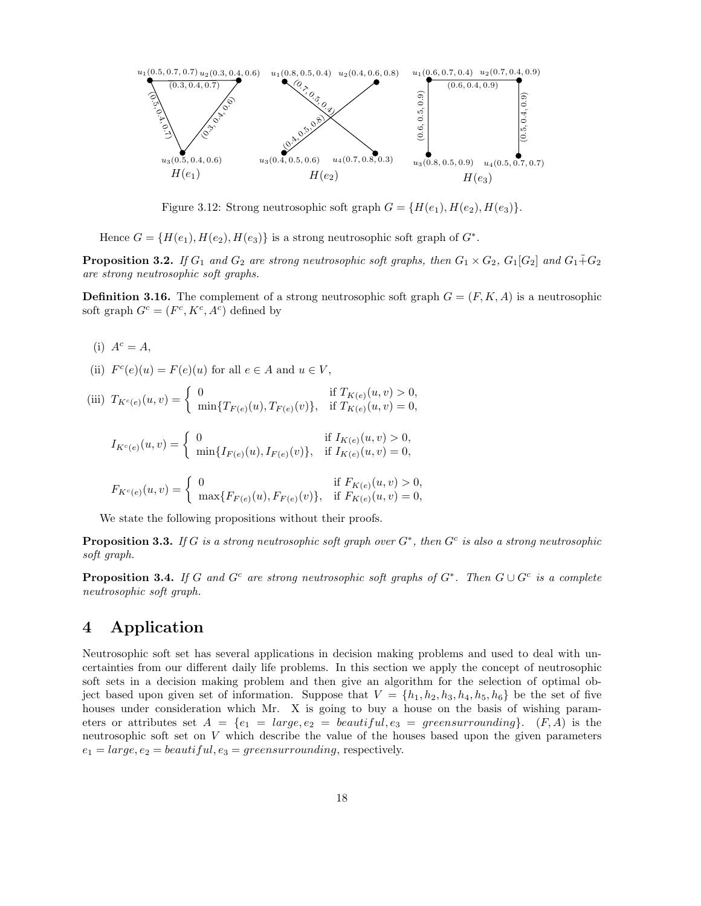

Figure 3.12: Strong neutrosophic soft graph  $G = \{H(e_1), H(e_2), H(e_3)\}.$ 

Hence  $G = \{H(e_1), H(e_2), H(e_3)\}\$ is a strong neutrosophic soft graph of  $G^*$ .

**Proposition 3.2.** *If*  $G_1$  *and*  $G_2$  *are strong neutrosophic soft graphs, then*  $G_1 \times G_2$ ,  $G_1[G_2]$  *and*  $G_1 \tilde{+} G_2$ *are strong neutrosophic soft graphs.*

**Definition 3.16.** The complement of a strong neutrosophic soft graph  $G = (F, K, A)$  is a neutrosophic soft graph  $G^c = (F^c, K^c, A^c)$  defined by

- (i)  $A^c = A$ ,
- (ii)  $F^c(e)(u) = F(e)(u)$  for all  $e \in A$  and  $u \in V$ ,

(iii) 
$$
T_{K^c(e)}(u, v) = \begin{cases} 0 & \text{if } T_{K(e)}(u, v) > 0, \\ \min\{T_{F(e)}(u), T_{F(e)}(v)\}, & \text{if } T_{K(e)}(u, v) = 0, \end{cases}
$$

$$
I_{K^c(e)}(u,v) = \begin{cases} 0 & \text{if } I_{K(e)}(u,v) > 0, \\ \min\{I_{F(e)}(u), I_{F(e)}(v)\}, & \text{if } I_{K(e)}(u,v) = 0, \end{cases}
$$

$$
F_{K^c(e)}(u,v) = \begin{cases} 0 & \text{if } F_{K(e)}(u,v) > 0, \\ \max\{F_{F(e)}(u), F_{F(e)}(v)\}, & \text{if } F_{K(e)}(u,v) = 0, \end{cases}
$$

We state the following propositions without their proofs.

Proposition 3.3. *If* G *is a strong neutrosophic soft graph over* G<sup>∗</sup> *, then* G<sup>c</sup> *is also a strong neutrosophic soft graph.*

Proposition 3.4. *If* G *and* G<sup>c</sup> *are strong neutrosophic soft graphs of* G<sup>∗</sup> *. Then* G ∪ G<sup>c</sup> *is a complete neutrosophic soft graph.*

### 4 Application

Neutrosophic soft set has several applications in decision making problems and used to deal with uncertainties from our different daily life problems. In this section we apply the concept of neutrosophic soft sets in a decision making problem and then give an algorithm for the selection of optimal object based upon given set of information. Suppose that  $V = \{h_1, h_2, h_3, h_4, h_5, h_6\}$  be the set of five houses under consideration which Mr. X is going to buy a house on the basis of wishing parameters or attributes set  $A = \{e_1 = large, e_2 = beautiful, e_3 = greensurrounding\}.$  (F, A) is the neutrosophic soft set on V which describe the value of the houses based upon the given parameters  $e_1 = large, e_2 = beautiful, e_3 = green surrounding, respectively.$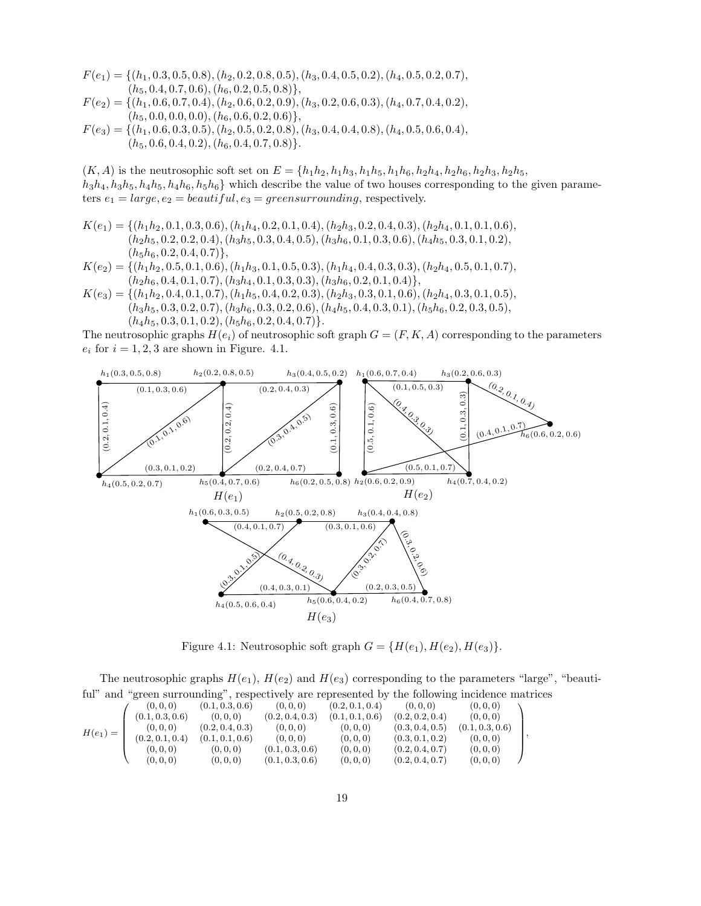$F(e_1) = \{(h_1, 0.3, 0.5, 0.8), (h_2, 0.2, 0.8, 0.5), (h_3, 0.4, 0.5, 0.2), (h_4, 0.5, 0.2, 0.7),$  $(h_5, 0.4, 0.7, 0.6), (h_6, 0.2, 0.5, 0.8)\},$  $F(e_2) = \{(h_1, 0.6, 0.7, 0.4), (h_2, 0.6, 0.2, 0.9), (h_3, 0.2, 0.6, 0.3), (h_4, 0.7, 0.4, 0.2),$ 

- $(h_5, 0.0, 0.0, 0.0), (h_6, 0.6, 0.2, 0.6)\},$
- $F(e_3) = \{(h_1, 0.6, 0.3, 0.5), (h_2, 0.5, 0.2, 0.8), (h_3, 0.4, 0.4, 0.8), (h_4, 0.5, 0.6, 0.4),$  $(h_5, 0.6, 0.4, 0.2), (h_6, 0.4, 0.7, 0.8)\}.$

 $(K, A)$  is the neutrosophic soft set on  $E = \{h_1h_2, h_1h_3, h_1h_5, h_1h_6, h_2h_4, h_2h_6, h_2h_3, h_2h_5,$  $h_3h_4, h_3h_5, h_4h_5, h_4h_6, h_5h_6$  which describe the value of two houses corresponding to the given parameters  $e_1 = large, e_2 = beautiful, e_3 = green surrounding, respectively.$ 

 $K(e_1) = \{(h_1h_2, 0.1, 0.3, 0.6), (h_1h_4, 0.2, 0.1, 0.4), (h_2h_3, 0.2, 0.4, 0.3), (h_2h_4, 0.1, 0.1, 0.6),$  $(h_2h_5, 0.2, 0.2, 0.4), (h_3h_5, 0.3, 0.4, 0.5), (h_3h_6, 0.1, 0.3, 0.6), (h_4h_5, 0.3, 0.1, 0.2),$  $(h_5h_6, 0.2, 0.4, 0.7)\},\$ 

$$
K(e_2) = \{ (h_1h_2, 0.5, 0.1, 0.6), (h_1h_3, 0.1, 0.5, 0.3), (h_1h_4, 0.4, 0.3, 0.3), (h_2h_4, 0.5, 0.1, 0.7), (h_2h_6, 0.4, 0.1, 0.7), (h_3h_4, 0.1, 0.3, 0.3), (h_3h_6, 0.2, 0.1, 0.4) \},
$$

 $K(e_3) = \{(h_1h_2, 0.4, 0.1, 0.7), (h_1h_5, 0.4, 0.2, 0.3), (h_2h_3, 0.3, 0.1, 0.6), (h_2h_4, 0.3, 0.1, 0.5),$  $(h_3h_5, 0.3, 0.2, 0.7), (h_3h_6, 0.3, 0.2, 0.6), (h_4h_5, 0.4, 0.3, 0.1), (h_5h_6, 0.2, 0.3, 0.5),$  $(h_4h_5, 0.3, 0.1, 0.2), (h_5h_6, 0.2, 0.4, 0.7)\}.$ 

The neutrosophic graphs  $H(e_i)$  of neutrosophic soft graph  $G = (F, K, A)$  corresponding to the parameters  $e_i$  for  $i = 1, 2, 3$  are shown in Figure. 4.1.



Figure 4.1: Neutrosophic soft graph  $G = \{H(e_1), H(e_2), H(e_3)\}.$ 

The neutrosophic graphs  $H(e_1)$ ,  $H(e_2)$  and  $H(e_3)$  corresponding to the parameters "large", "beautiful" and "green surrounding", respectively are represented by the following incidence matrices

$$
H(e_1) = \left(\begin{array}{cccccc} (0,0,0) & (0.1,0.3,0.6) & (0,0,0) & (0.2,0.1,0.4) & (0,0,0) & (0,0,0) \\ (0.1,0.3,0.6) & (0,0,0) & (0.2,0.4,0.3) & (0.1,0.1,0.6) & (0.2,0.2,0.4) & (0,0,0) \\ (0,0,0) & (0.2,0.4,0.3) & (0,0,0) & (0,0,0) & (0.3,0.4,0.5) & (0.1,0.3,0.6) \\ (0.2,0.1,0.4) & (0.1,0.1,0.6) & (0,0,0) & (0,0,0) & (0.3,0.1,0.2) & (0,0,0) \\ (0,0,0) & (0,0,0) & (0.1,0.3,0.6) & (0,0,0) & (0.2,0.4,0.7) & (0,0,0) \\ (0,0,0) & (0,0,0) & (0.1,0.3,0.6) & (0,0,0) & (0.2,0.4,0.7) & (0,0,0) \end{array}\right),
$$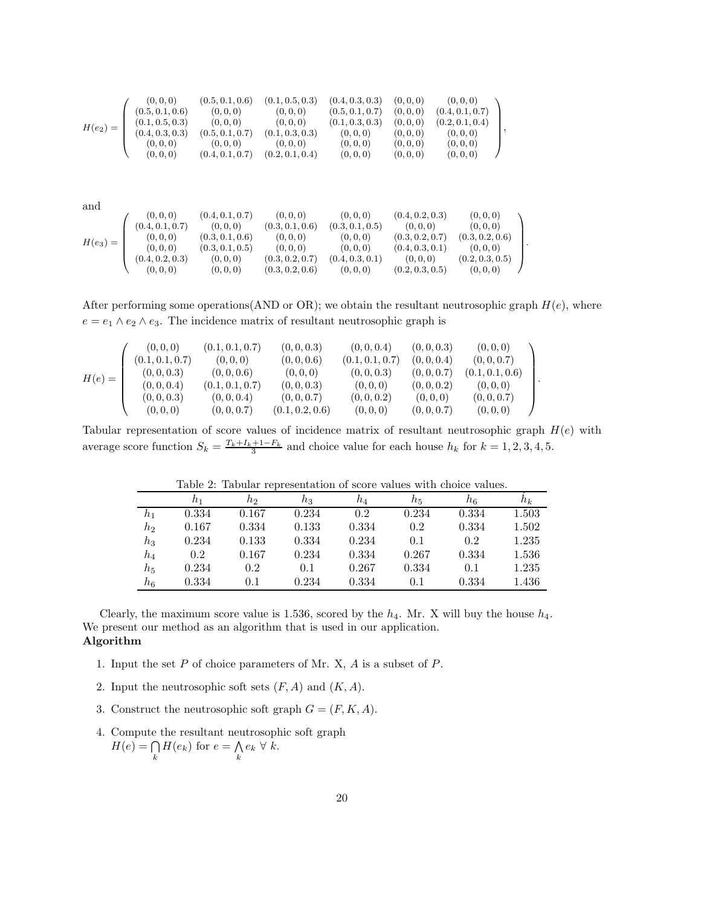$$
H(e_2) = \begin{pmatrix}\n(0,0,0) & (0.5,0.1,0.6) & (0.1,0.5,0.3) & (0.4,0.3,0.3) & (0,0,0) & (0,0,0) \\
(0.5,0.1,0.6) & (0,0,0) & (0,0,0) & (0.5,0.1,0.7) & (0,0,0) & (0.4,0.1,0.7) \\
(0.1,0.5,0.3) & (0,0,0) & (0,0,0) & (0.1,0.3,0.3) & (0,0,0) & (0.2,0.1,0.4) \\
(0.4,0.3,0.3) & (0.5,0.1,0.7) & (0.1,0.3,0.3) & (0,0,0) & (0,0,0) & (0,0,0) \\
(0,0,0) & (0,0,0) & (0,0,0) & (0,0,0) & (0,0,0) & (0,0,0) \\
(0,0,0) & (0.4,0.1,0.7) & (0.2,0.1,0.4) & (0,0,0) & (0,0,0) & (0,0,0) \\
(0.4,0.1,0.7) & (0.2,0.1,0.4) & (0,0,0) & (0,0,0) & (0,0,0) \\
(0.4,0.1,0.7) & (0,0,0) & (0.3,0.1,0.6) & (0.3,0.1,0.5) & (0,0,0) & (0,0,0) \\
(0.4,0.1,0.7) & (0,0,0) & (0.3,0.1,0.6) & (0.3,0.1,0.5) & (0,0,0) & (0.3,0.2,0.7) & (0.3,0.2,0.6) \\
(0,0,0) & (0.3,0.1,0.5) & (0,0,0) & (0.3,0.2,0.7) & (0.3,0.2,0.6) & (0,0,0) \\
(0.4,0.2,0.3) & (0,0,0) & (0.3,0.2,0.7) & (0.4,0.3,0.1) & (0,0,0) & (0.2,0.3,0.5) \\
(0,0,0) & (0.3,0.1,0.5) & (0,0,0) & (0
$$

After performing some operations (AND or OR); we obtain the resultant neutrosophic graph  $H(e)$ , where  $e = e_1 \wedge e_2 \wedge e_3$ . The incidence matrix of resultant neutrosophic graph is

.

.

|          | (0, 0, 0)       | (0.1, 0.1, 0.7) | (0, 0, 0.3)     | (0, 0, 0.4)     | (0, 0, 0.3) | (0,0,0)         |  |
|----------|-----------------|-----------------|-----------------|-----------------|-------------|-----------------|--|
| $H(e) =$ | (0.1, 0.1, 0.7) | (0, 0, 0)       | (0, 0, 0.6)     | (0.1, 0.1, 0.7) | (0, 0, 0.4) | (0, 0, 0.7)     |  |
|          | (0, 0, 0.3)     | (0, 0, 0.6)     | (0,0,0)         | (0,0,0.3)       | (0, 0, 0.7) | (0.1, 0.1, 0.6) |  |
|          | (0, 0, 0.4)     | (0.1, 0.1, 0.7) | (0, 0, 0.3)     | (0,0,0)         | (0, 0, 0.2) | (0,0,0)         |  |
|          | (0, 0, 0.3)     | (0, 0, 0.4)     | (0, 0, 0.7)     | (0, 0, 0.2)     | (0,0,0)     | (0, 0, 0.7)     |  |
|          | (0, 0, 0)       | (0, 0, 0.7)     | (0.1, 0.2, 0.6) | (0,0,0)         | (0, 0, 0.7) | (0, 0, 0)       |  |

Tabular representation of score values of incidence matrix of resultant neutrosophic graph  $H(e)$  with average score function  $S_k = \frac{T_k + I_k + 1 - F_k}{3}$  and choice value for each house  $h_k$  for  $k = 1, 2, 3, 4, 5$ .

|                |       |       | TOOTA TE TOO GAON TARTOOTION VALUE OT RUALE TULGED HILLE CALORAD TULGED |       |       |       |       |
|----------------|-------|-------|-------------------------------------------------------------------------|-------|-------|-------|-------|
|                | $h_1$ | hэ    | $h_3$                                                                   | $h_4$ | $h_5$ | h6    | $n_k$ |
| $h_1$          | 0.334 | 0.167 | 0.234                                                                   | 0.2   | 0.234 | 0.334 | 1.503 |
| h <sub>2</sub> | 0.167 | 0.334 | 0.133                                                                   | 0.334 | 0.2   | 0.334 | 1.502 |
| $h_3$          | 0.234 | 0.133 | 0.334                                                                   | 0.234 | 0.1   | 0.2   | 1.235 |
| $h_{4}$        | 0.2   | 0.167 | 0.234                                                                   | 0.334 | 0.267 | 0.334 | 1.536 |
| $h_{5}$        | 0.234 | 0.2   | 0.1                                                                     | 0.267 | 0.334 | 0.1   | 1.235 |
| $h_{\rm 6}$    | 0.334 | 0.1   | 0.234                                                                   | 0.334 | 0.1   | 0.334 | 1.436 |

Table 2: Tabular representation of score values with choice values.

Clearly, the maximum score value is 1.536, scored by the  $h_4$ . Mr. X will buy the house  $h_4$ . We present our method as an algorithm that is used in our application. Algorithm

- 1. Input the set P of choice parameters of Mr. X, A is a subset of P.
- 2. Input the neutrosophic soft sets  $(F, A)$  and  $(K, A)$ .
- 3. Construct the neutrosophic soft graph  $G = (F, K, A)$ .
- 4. Compute the resultant neutrosophic soft graph  $H(e) = \bigcap$  $\bigcap_{k} H(e_k)$  for  $e = \bigwedge_{k}$  $\bigwedge_k e_k \ \forall \ k.$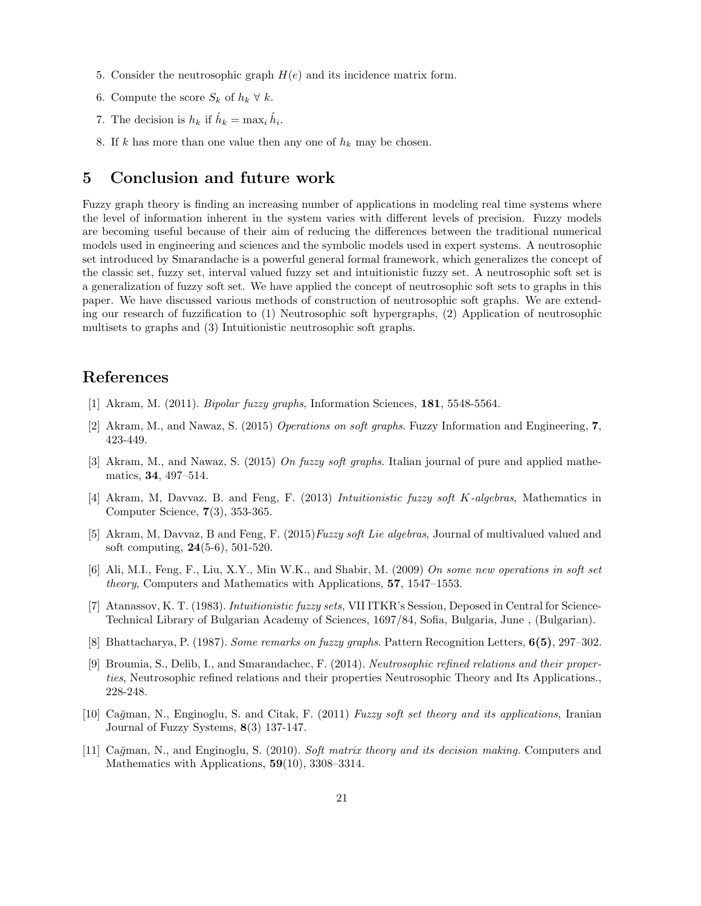- 5. Consider the neutrosophic graph  $H(e)$  and its incidence matrix form.
- 6. Compute the score  $S_k$  of  $h_k \forall k$ .
- 7. The decision is  $h_k$  if  $\hat{h}_k = \max_i \hat{h}_i$ .
- 8. If k has more than one value then any one of  $h_k$  may be chosen.

## 5 Conclusion and future work

Fuzzy graph theory is finding an increasing number of applications in modeling real time systems where the level of information inherent in the system varies with different levels of precision. Fuzzy models are becoming useful because of their aim of reducing the differences between the traditional numerical models used in engineering and sciences and the symbolic models used in expert systems. A neutrosophic set introduced by Smarandache is a powerful general formal framework, which generalizes the concept of the classic set, fuzzy set, interval valued fuzzy set and intuitionistic fuzzy set. A neutrosophic soft set is a generalization of fuzzy soft set. We have applied the concept of neutrosophic soft sets to graphs in this paper. We have discussed various methods of construction of neutrosophic soft graphs. We are extending our research of fuzzification to (1) Neutrosophic soft hypergraphs, (2) Application of neutrosophic multisets to graphs and (3) Intuitionistic neutrosophic soft graphs.

# References

- [1] Akram, M. (2011). *Bipolar fuzzy graphs*, Information Sciences, 181, 5548-5564.
- [2] Akram, M., and Nawaz, S. (2015) *Operations on soft graphs*. Fuzzy Information and Engineering, 7, 423-449.
- [3] Akram, M., and Nawaz, S. (2015) *On fuzzy soft graphs*. Italian journal of pure and applied mathematics, 34, 497–514.
- [4] Akram, M, Davvaz, B. and Feng, F. (2013) *Intuitionistic fuzzy soft* K*-algebras*, Mathematics in Computer Science, 7(3), 353-365.
- [5] Akram, M, Davvaz, B and Feng, F. (2015)*Fuzzy soft Lie algebras*, Journal of multivalued valued and soft computing, 24(5-6), 501-520.
- [6] Ali, M.I., Feng, F., Liu, X.Y., Min W.K., and Shabir, M. (2009) *On some new operations in soft set theory*, Computers and Mathematics with Applications, 57, 1547–1553.
- [7] Atanassov, K. T. (1983). *Intuitionistic fuzzy sets,* VII ITKR's Session, Deposed in Central for Science-Technical Library of Bulgarian Academy of Sciences, 1697/84, Sofia, Bulgaria, June , (Bulgarian).
- [8] Bhattacharya, P. (1987). *Some remarks on fuzzy graphs*. Pattern Recognition Letters, 6(5), 297–302.
- [9] Broumia, S., Delib, I., and Smarandachec, F. (2014). *Neutrosophic refined relations and their properties*, Neutrosophic refined relations and their properties Neutrosophic Theory and Its Applications., 228-248.
- [10] Ca˘gman, N., Enginoglu, S. and Citak, F. (2011) *Fuzzy soft set theory and its applications*, Iranian Journal of Fuzzy Systems, 8(3) 137-147.
- [11] Ca˘gman, N., and Enginoglu, S. (2010). *Soft matrix theory and its decision making.* Computers and Mathematics with Applications, 59(10), 3308–3314.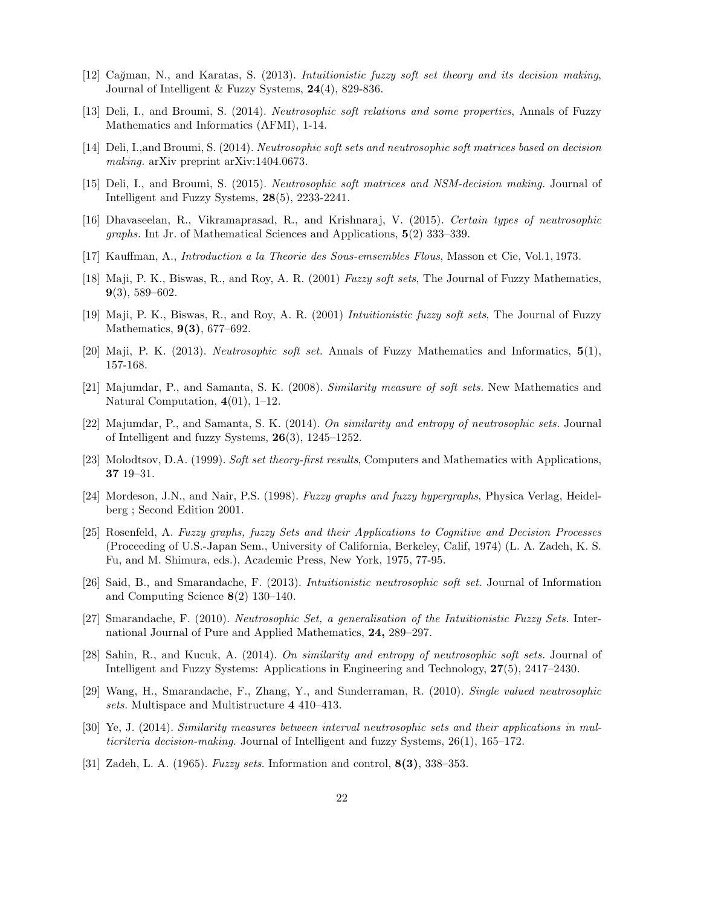- [12] Ca˘gman, N., and Karatas, S. (2013). *Intuitionistic fuzzy soft set theory and its decision making*, Journal of Intelligent & Fuzzy Systems, 24(4), 829-836.
- [13] Deli, I., and Broumi, S. (2014). *Neutrosophic soft relations and some properties*, Annals of Fuzzy Mathematics and Informatics (AFMI), 1-14.
- [14] Deli, I.,and Broumi, S. (2014). *Neutrosophic soft sets and neutrosophic soft matrices based on decision making.* arXiv preprint arXiv:1404.0673.
- [15] Deli, I., and Broumi, S. (2015). *Neutrosophic soft matrices and NSM-decision making.* Journal of Intelligent and Fuzzy Systems, 28(5), 2233-2241.
- [16] Dhavaseelan, R., Vikramaprasad, R., and Krishnaraj, V. (2015). *Certain types of neutrosophic graphs.* Int Jr. of Mathematical Sciences and Applications, 5(2) 333–339.
- [17] Kauffman, A., *Introduction a la Theorie des Sous-emsembles Flous*, Masson et Cie, Vol.1, 1973.
- [18] Maji, P. K., Biswas, R., and Roy, A. R. (2001) *Fuzzy soft sets*, The Journal of Fuzzy Mathematics, 9(3), 589–602.
- [19] Maji, P. K., Biswas, R., and Roy, A. R. (2001) *Intuitionistic fuzzy soft sets*, The Journal of Fuzzy Mathematics, 9(3), 677–692.
- [20] Maji, P. K. (2013). *Neutrosophic soft set.* Annals of Fuzzy Mathematics and Informatics, 5(1), 157-168.
- [21] Majumdar, P., and Samanta, S. K. (2008). *Similarity measure of soft sets.* New Mathematics and Natural Computation, 4(01), 1–12.
- [22] Majumdar, P., and Samanta, S. K. (2014). *On similarity and entropy of neutrosophic sets.* Journal of Intelligent and fuzzy Systems, 26(3), 1245–1252.
- [23] Molodtsov, D.A. (1999). *Soft set theory-first results*, Computers and Mathematics with Applications, 37 19–31.
- [24] Mordeson, J.N., and Nair, P.S. (1998). *Fuzzy graphs and fuzzy hypergraphs*, Physica Verlag, Heidelberg ; Second Edition 2001.
- [25] Rosenfeld, A. *Fuzzy graphs, fuzzy Sets and their Applications to Cognitive and Decision Processes* (Proceeding of U.S.-Japan Sem., University of California, Berkeley, Calif, 1974) (L. A. Zadeh, K. S. Fu, and M. Shimura, eds.), Academic Press, New York, 1975, 77-95.
- [26] Said, B., and Smarandache, F. (2013). *Intuitionistic neutrosophic soft set.* Journal of Information and Computing Science 8(2) 130–140.
- [27] Smarandache, F. (2010). *Neutrosophic Set, a generalisation of the Intuitionistic Fuzzy Sets.* International Journal of Pure and Applied Mathematics, 24, 289–297.
- [28] Sahin, R., and Kucuk, A. (2014). *On similarity and entropy of neutrosophic soft sets.* Journal of Intelligent and Fuzzy Systems: Applications in Engineering and Technology, 27(5), 2417–2430.
- [29] Wang, H., Smarandache, F., Zhang, Y., and Sunderraman, R. (2010). *Single valued neutrosophic sets.* Multispace and Multistructure 4 410–413.
- [30] Ye, J. (2014). *Similarity measures between interval neutrosophic sets and their applications in multicriteria decision-making.* Journal of Intelligent and fuzzy Systems, 26(1), 165–172.
- [31] Zadeh, L. A. (1965). *Fuzzy sets*. Information and control, 8(3), 338–353.